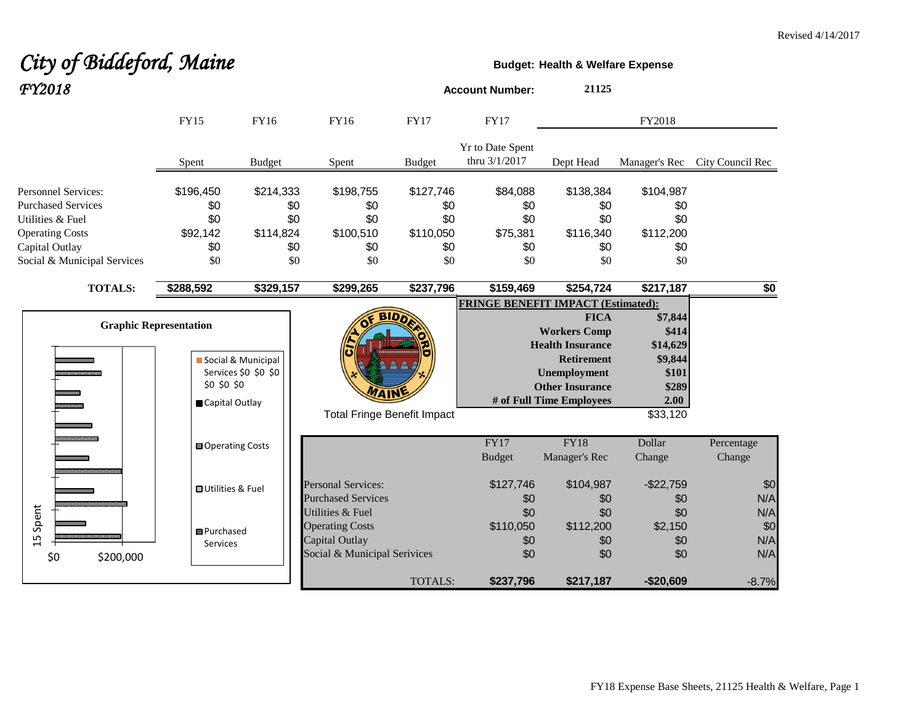# City of Biddeford, Maine **Budget: Budget:** Health & Welfare Expense *FY2018* **Account Number: <sup>21125</sup>**

|                                                                                                                                                        | <b>FY15</b>                                       | <b>FY16</b>                                        | <b>FY16</b>                                                                                  | <b>FY17</b>                                        | <b>FY17</b>                                      |                                                                                                                                                          | FY2018                                                                        |                                     |
|--------------------------------------------------------------------------------------------------------------------------------------------------------|---------------------------------------------------|----------------------------------------------------|----------------------------------------------------------------------------------------------|----------------------------------------------------|--------------------------------------------------|----------------------------------------------------------------------------------------------------------------------------------------------------------|-------------------------------------------------------------------------------|-------------------------------------|
|                                                                                                                                                        | Spent                                             | <b>Budget</b>                                      | Spent                                                                                        | <b>Budget</b>                                      | Yr to Date Spent<br>thru 3/1/2017                | Dept Head                                                                                                                                                | Manager's Rec                                                                 | City Council Rec                    |
| <b>Personnel Services:</b><br><b>Purchased Services</b><br>Utilities & Fuel<br><b>Operating Costs</b><br>Capital Outlay<br>Social & Municipal Services | \$196,450<br>\$0<br>\$0<br>\$92,142<br>\$0<br>\$0 | \$214,333<br>\$0<br>\$0<br>\$114,824<br>\$0<br>\$0 | \$198,755<br>\$0<br>\$0<br>\$100,510<br>\$0<br>\$0                                           | \$127,746<br>\$0<br>\$0<br>\$110,050<br>\$0<br>\$0 | \$84,088<br>\$0<br>\$0<br>\$75,381<br>\$0<br>\$0 | \$138,384<br>\$0<br>\$0<br>\$116,340<br>\$0<br>\$0                                                                                                       | \$104,987<br>\$0<br>\$0<br>\$112,200<br>\$0<br>\$0                            |                                     |
| <b>TOTALS:</b>                                                                                                                                         | \$288,592                                         | \$329,157                                          | \$299,265                                                                                    | \$237,796                                          | \$159,469                                        | \$254,724                                                                                                                                                | \$217,187                                                                     | $\overline{50}$                     |
| <b>Graphic Representation</b>                                                                                                                          | \$0 \$0 \$0<br>Capital Outlay                     | Social & Municipal<br>Services \$0 \$0 \$0         | <b>WAIN</b><br><b>Total Fringe Benefit Impact</b>                                            |                                                    | <b>FRINGE BENEFIT IMPACT (Estimated):</b>        | <b>FICA</b><br><b>Workers Comp</b><br><b>Health Insurance</b><br><b>Retirement</b><br>Unemployment<br><b>Other Insurance</b><br># of Full Time Employees | \$7,844<br>\$414<br>\$14,629<br>\$9,844<br>\$101<br>\$289<br>2.00<br>\$33,120 |                                     |
|                                                                                                                                                        | <b>□</b> Operating Costs                          |                                                    |                                                                                              |                                                    | FY17<br><b>Budget</b>                            | <b>FY18</b><br>Manager's Rec                                                                                                                             | Dollar<br>Change                                                              | Percentage<br>Change                |
|                                                                                                                                                        | <b>OUtilities &amp; Fuel</b>                      |                                                    | <b>Personal Services:</b><br><b>Purchased Services</b>                                       |                                                    | \$127,746<br>\$0                                 | \$104,987<br>\$0                                                                                                                                         | $-$22,759$<br>\$0                                                             | \$0<br>N/A                          |
| Spent<br>15<br>\$0<br>\$200,000                                                                                                                        | 图 Purchased<br>Services                           |                                                    | Utilities & Fuel<br><b>Operating Costs</b><br>Capital Outlay<br>Social & Municipal Serivices | <b>TOTALS:</b>                                     | \$0<br>\$110,050<br>\$0<br>\$0<br>\$237,796      | \$0<br>\$112,200<br>\$0<br>\$0<br>\$217,187                                                                                                              | \$0<br>\$2,150<br>\$0<br>\$0<br>$-$20,609$                                    | N/A<br>\$0<br>N/A<br>N/A<br>$-8.7%$ |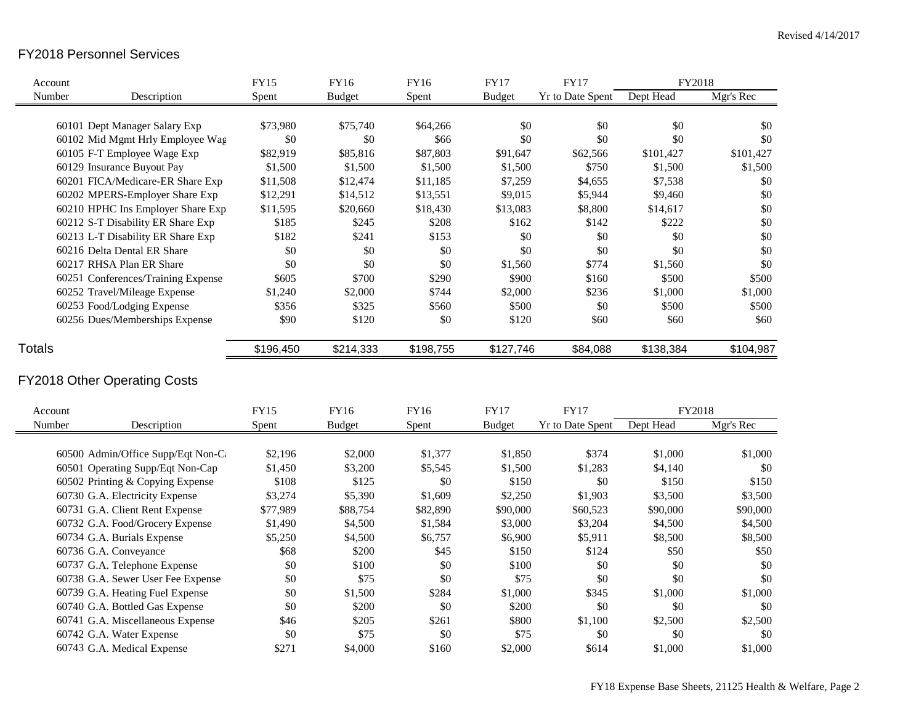#### FY2018 Personnel Services

| Account       |                                     | <b>FY15</b> | <b>FY16</b>   | <b>FY16</b> | <b>FY17</b>   | <b>FY17</b>             | FY2018    |           |
|---------------|-------------------------------------|-------------|---------------|-------------|---------------|-------------------------|-----------|-----------|
| Number        | Description                         | Spent       | <b>Budget</b> | Spent       | <b>Budget</b> | <b>Yr to Date Spent</b> | Dept Head | Mgr's Rec |
|               |                                     |             |               |             |               |                         |           |           |
|               | 60101 Dept Manager Salary Exp       | \$73,980    | \$75,740      | \$64,266    | \$0           | \$0                     | \$0       | \$0       |
|               | 60102 Mid Mgmt Hrly Employee Wag    | \$0         | \$0           | \$66        | \$0           | \$0                     | \$0       | \$0       |
|               | 60105 F-T Employee Wage Exp         | \$82,919    | \$85,816      | \$87,803    | \$91,647      | \$62,566                | \$101,427 | \$101,427 |
|               | 60129 Insurance Buyout Pay          | \$1,500     | \$1,500       | \$1,500     | \$1,500       | \$750                   | \$1,500   | \$1,500   |
|               | 60201 FICA/Medicare-ER Share Exp    | \$11,508    | \$12,474      | \$11,185    | \$7,259       | \$4,655                 | \$7,538   | \$0       |
|               | 60202 MPERS-Employer Share Exp      | \$12,291    | \$14,512      | \$13,551    | \$9,015       | \$5,944                 | \$9,460   | \$0       |
|               | 60210 HPHC Ins Employer Share Exp   | \$11,595    | \$20,660      | \$18,430    | \$13,083      | \$8,800                 | \$14,617  | \$0       |
|               | 60212 S-T Disability ER Share Exp   | \$185       | \$245         | \$208       | \$162         | \$142                   | \$222     | \$0       |
|               | 60213 L-T Disability ER Share Exp   | \$182       | \$241         | \$153       | \$0           | \$0                     | \$0       | $\$0$     |
|               | 60216 Delta Dental ER Share         | \$0         | \$0           | \$0         | \$0           | \$0                     | \$0       | \$0       |
|               | 60217 RHSA Plan ER Share            | \$0         | \$0           | \$0         | \$1,560       | \$774                   | \$1,560   | \$0       |
|               | 60251 Conferences/Training Expense  | \$605       | \$700         | \$290       | \$900         | \$160                   | \$500     | \$500     |
|               | 60252 Travel/Mileage Expense        | \$1,240     | \$2,000       | \$744       | \$2,000       | \$236                   | \$1,000   | \$1,000   |
|               | 60253 Food/Lodging Expense          | \$356       | \$325         | \$560       | \$500         | \$0                     | \$500     | \$500     |
|               | 60256 Dues/Memberships Expense      | \$90        | \$120         | \$0         | \$120         | \$60                    | \$60      | \$60      |
|               |                                     |             |               |             |               |                         |           |           |
| <b>Totals</b> |                                     | \$196,450   | \$214,333     | \$198,755   | \$127,746     | \$84,088                | \$138,384 | \$104,987 |
|               | <b>FY2018 Other Operating Costs</b> |             |               |             |               |                         |           |           |
| Account       |                                     | <b>FY15</b> | <b>FY16</b>   | <b>FY16</b> | <b>FY17</b>   | <b>FY17</b>             | FY2018    |           |
| Number        | Description                         | Spent       | <b>Budget</b> | Spent       | <b>Budget</b> | Yr to Date Spent        | Dept Head | Mgr's Rec |
|               |                                     |             |               |             |               |                         |           |           |
|               | 60500 Admin/Office Supp/Eqt Non-C   | \$2,196     | \$2,000       | \$1,377     | \$1,850       | \$374                   | \$1,000   | \$1,000   |
|               | 60501 Operating Supp/Eqt Non-Cap    | \$1,450     | \$3,200       | \$5,545     | \$1,500       | \$1,283                 | \$4,140   | \$0       |
|               | 60502 Printing & Copying Expense    | \$108       | \$125         | \$0         | \$150         | \$0                     | \$150     | \$150     |
|               | 60730 G.A. Electricity Expense      | \$3,274     | \$5,390       | \$1,609     | \$2,250       | \$1,903                 | \$3,500   | \$3,500   |
|               | 60731 G.A. Client Rent Expense      | \$77,989    | \$88,754      | \$82,890    | \$90,000      | \$60,523                | \$90,000  | \$90,000  |
|               | 60732 G.A. Food/Grocery Expense     | \$1,490     | \$4,500       | \$1,584     | \$3,000       | \$3,204                 | \$4,500   | \$4,500   |
|               | 60734 G.A. Burials Expense          | \$5,250     | \$4,500       | \$6,757     | \$6,900       | \$5,911                 | \$8,500   | \$8,500   |
|               | 60736 G.A. Conveyance               | \$68        | \$200         | \$45        | \$150         | \$124                   | \$50      | \$50      |
|               | 60737 G.A. Telephone Expense        | \$0         | \$100         | \$0         | \$100         | \$0                     | \$0       | \$0       |
|               | 60738 G.A. Sewer User Fee Expense   | \$0         | \$75          | \$0         | \$75          | \$0                     | \$0       | \$0       |
|               | 60739 G.A. Heating Fuel Expense     | \$0         | \$1,500       | \$284       | \$1,000       | \$345                   | \$1,000   | \$1,000   |
|               | 60740 G.A. Bottled Gas Expense      | \$0         | \$200         | \$0         | \$200         | \$0                     | \$0       | \$0       |
|               | 60741 G.A. Miscellaneous Expense    | \$46        | \$205         | \$261       | \$800         | \$1,100                 | \$2,500   | \$2,500   |
|               | 60742 G.A. Water Expense            | \$0         | \$75          | \$0         | \$75          | \$0                     | \$0       | \$0       |
|               | 60743 G.A. Medical Expense          | \$271       | \$4,000       | \$160       | \$2,000       | \$614                   | \$1,000   | \$1,000   |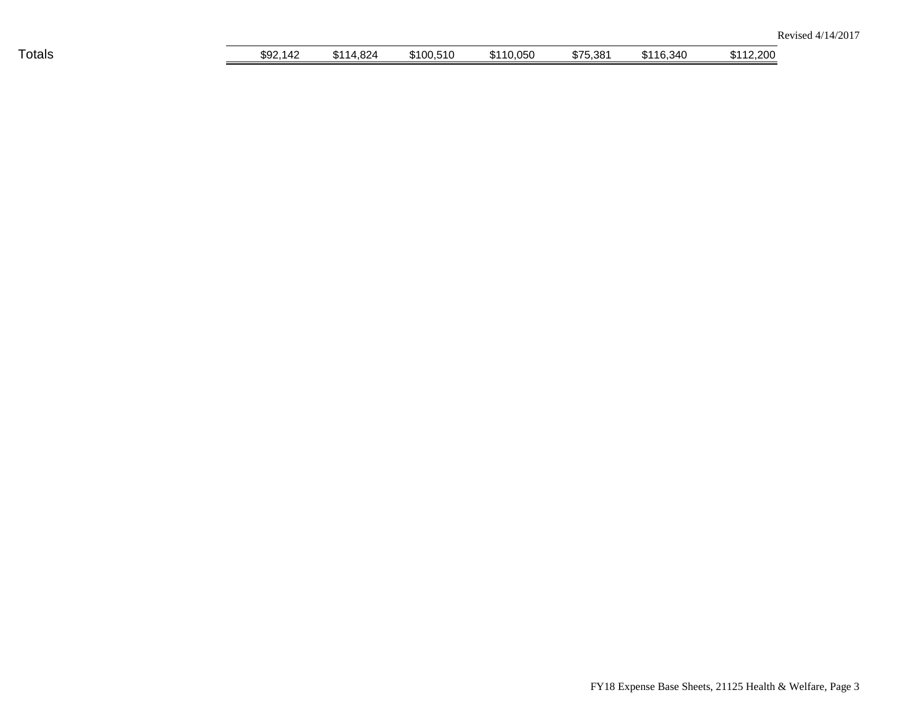| Totals | \$92,142 | 14,824<br>0.11<br>- 112 1 | \$100,510 | \$110,050 | \$75,381 | \$116,340 | \$112,200 |
|--------|----------|---------------------------|-----------|-----------|----------|-----------|-----------|
|        |          |                           |           |           |          |           |           |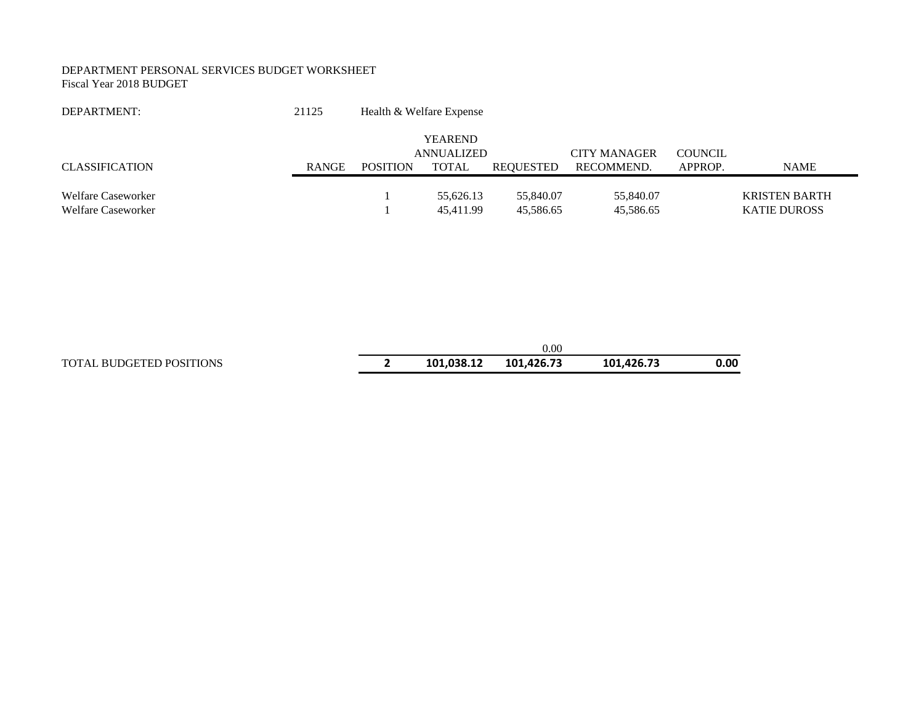#### DEPARTMENT PERSONAL SERVICES BUDGET WORKSHEET Fiscal Year 2018 BUDGET

| DEPARTMENT:           | 21125        | Health & Welfare Expense |                   |           |                     |                |                     |
|-----------------------|--------------|--------------------------|-------------------|-----------|---------------------|----------------|---------------------|
|                       |              |                          | <b>YEAREND</b>    |           |                     |                |                     |
|                       |              |                          | <b>ANNUALIZED</b> |           | <b>CITY MANAGER</b> | <b>COUNCIL</b> |                     |
| <b>CLASSIFICATION</b> | <b>RANGE</b> | <b>POSITION</b>          | TOTAL             | REOUESTED | RECOMMEND.          | APPROP.        | NAME                |
|                       |              |                          |                   |           |                     |                |                     |
| Welfare Caseworker    |              |                          | 55,626.13         | 55,840.07 | 55,840.07           |                | KRISTEN BARTH       |
| Welfare Caseworker    |              |                          | 45,411.99         | 45,586.65 | 45,586.65           |                | <b>KATIE DUROSS</b> |

|                                 |            | $0.00\,$   |            |      |
|---------------------------------|------------|------------|------------|------|
| <b>TOTAL BUDGETED POSITIONS</b> | 101.038.12 | 101.426.73 | 101.426.73 | 0.00 |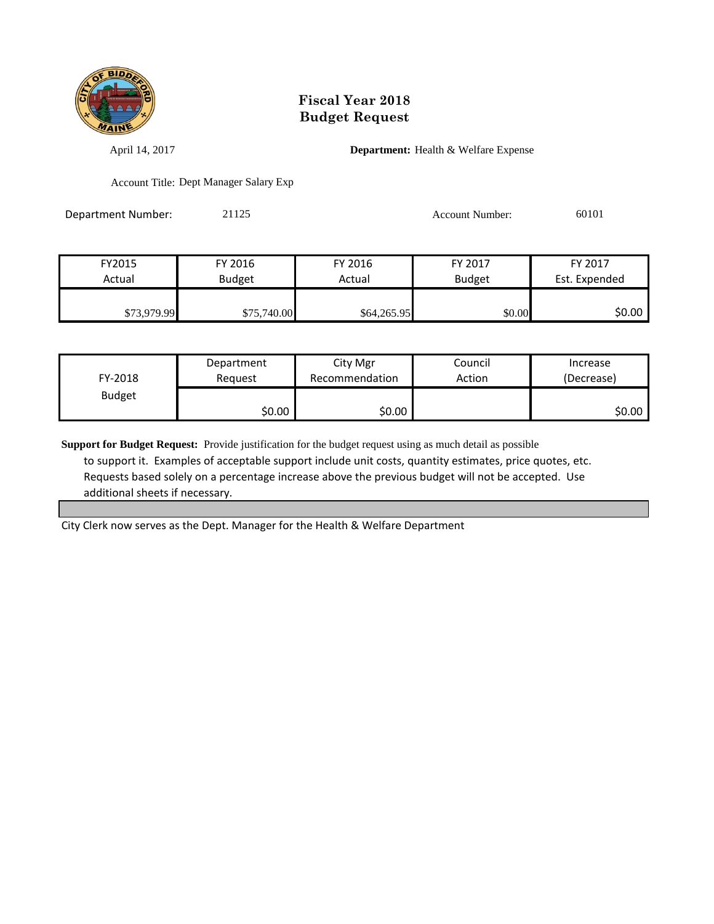

April 14, 2017 **Department:** Health & Welfare Expense

Account Title: Dept Manager Salary Exp

Department Number: 21125 21125 Account Number: 60101

| FY2015      | FY 2016       | FY 2016     | FY 2017       | FY 2017       |
|-------------|---------------|-------------|---------------|---------------|
| Actual      | <b>Budget</b> | Actual      | <b>Budget</b> | Est. Expended |
|             |               |             |               |               |
| \$73,979.99 | \$75,740.00   | \$64,265.95 | \$0.00        | SO.OO         |

| FY-2018       | Department | City Mgr       | Council | Increase   |
|---------------|------------|----------------|---------|------------|
|               | Reauest    | Recommendation | Action  | (Decrease) |
| <b>Budget</b> | \$0.00     | \$0.00         |         | \$0.00     |

**Support for Budget Request:** Provide justification for the budget request using as much detail as possible to support it. Examples of acceptable support include unit costs, quantity estimates, price quotes, etc. Requests based solely on a percentage increase above the previous budget will not be accepted. Use additional sheets if necessary.

City Clerk now serves as the Dept. Manager for the Health & Welfare Department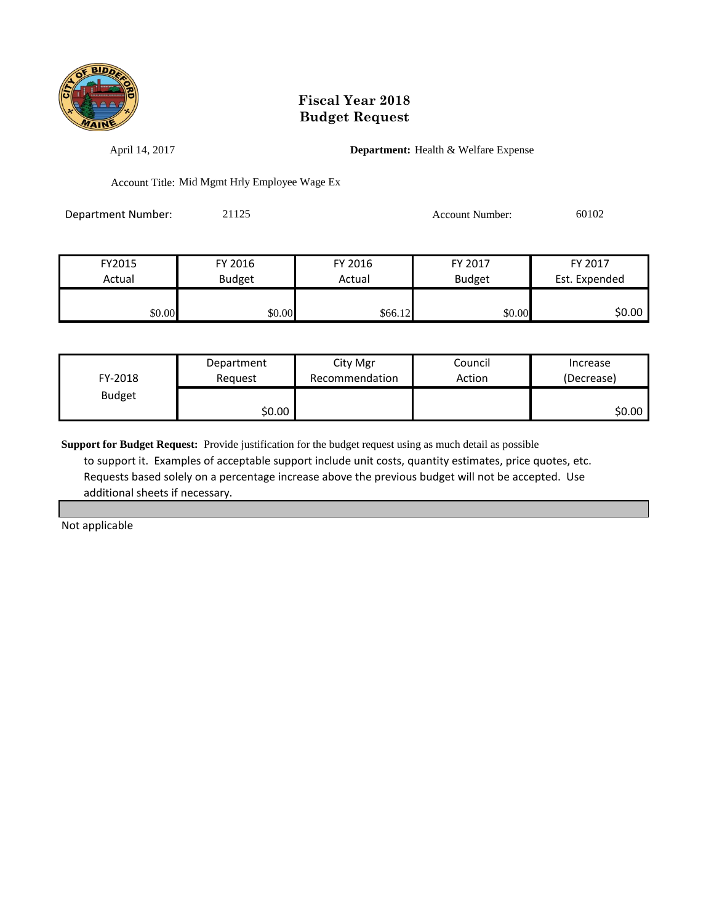

April 14, 2017 **Department:** Health & Welfare Expense

Account Title: Mid Mgmt Hrly Employee Wage Ex

Department Number: 21125 Account Number: 60102

| FY2015 | FY 2016       | FY 2016 | FY 2017       | FY 2017       |
|--------|---------------|---------|---------------|---------------|
| Actual | <b>Budget</b> | Actual  | <b>Budget</b> | Est. Expended |
|        |               |         |               |               |
| \$0.00 | \$0.00        | \$66.12 | \$0.00        | \$0.00        |

| FY-2018       | Department | City Mgr       | Council | Increase   |
|---------------|------------|----------------|---------|------------|
|               | Reauest    | Recommendation | Action  | (Decrease) |
| <b>Budget</b> | \$0.00     |                |         | \$0.00     |

**Support for Budget Request:** Provide justification for the budget request using as much detail as possible to support it. Examples of acceptable support include unit costs, quantity estimates, price quotes, etc. Requests based solely on a percentage increase above the previous budget will not be accepted. Use additional sheets if necessary.

Not applicable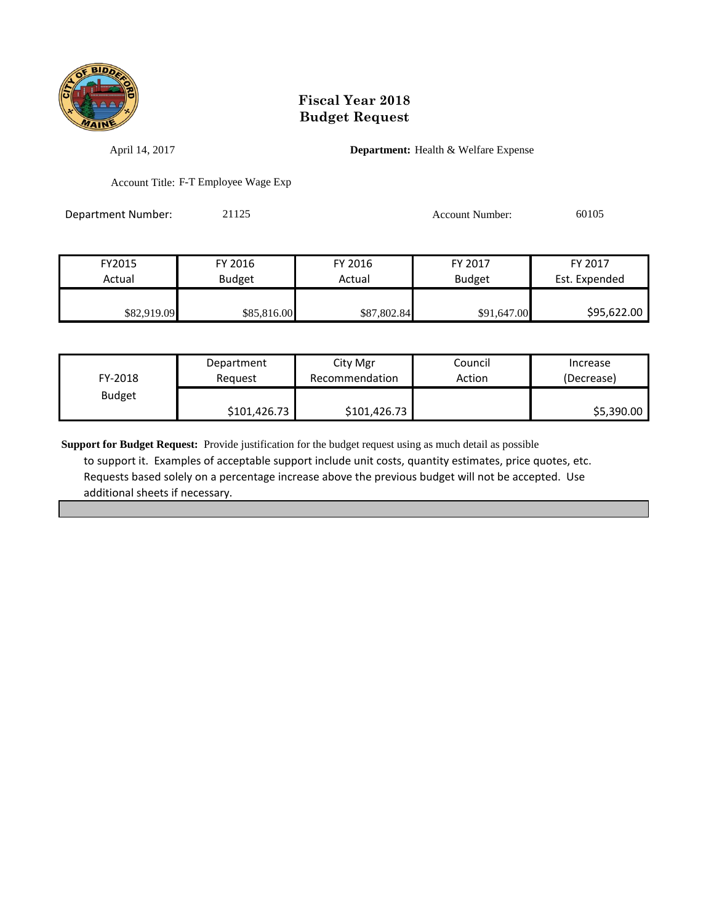

April 14, 2017 **Department:** Health & Welfare Expense

Account Title: F-T Employee Wage Exp

Department Number: 21125 21125 Account Number: 60105

| FY2015      | FY 2016       | FY 2016     | FY 2017       | FY 2017       |
|-------------|---------------|-------------|---------------|---------------|
| Actual      | <b>Budget</b> | Actual      | <b>Budget</b> | Est. Expended |
|             |               |             |               |               |
| \$82,919.09 | \$85,816.00   | \$87,802.84 | \$91,647.00   | \$95,622.00   |

| FY-2018       | Department   | City Mgr       | Council | Increase   |
|---------------|--------------|----------------|---------|------------|
|               | Reauest      | Recommendation | Action  | (Decrease) |
| <b>Budget</b> | \$101,426.73 | \$101,426.73   |         | \$5,390.00 |

**Support for Budget Request:** Provide justification for the budget request using as much detail as possible to support it. Examples of acceptable support include unit costs, quantity estimates, price quotes, etc. Requests based solely on a percentage increase above the previous budget will not be accepted. Use additional sheets if necessary.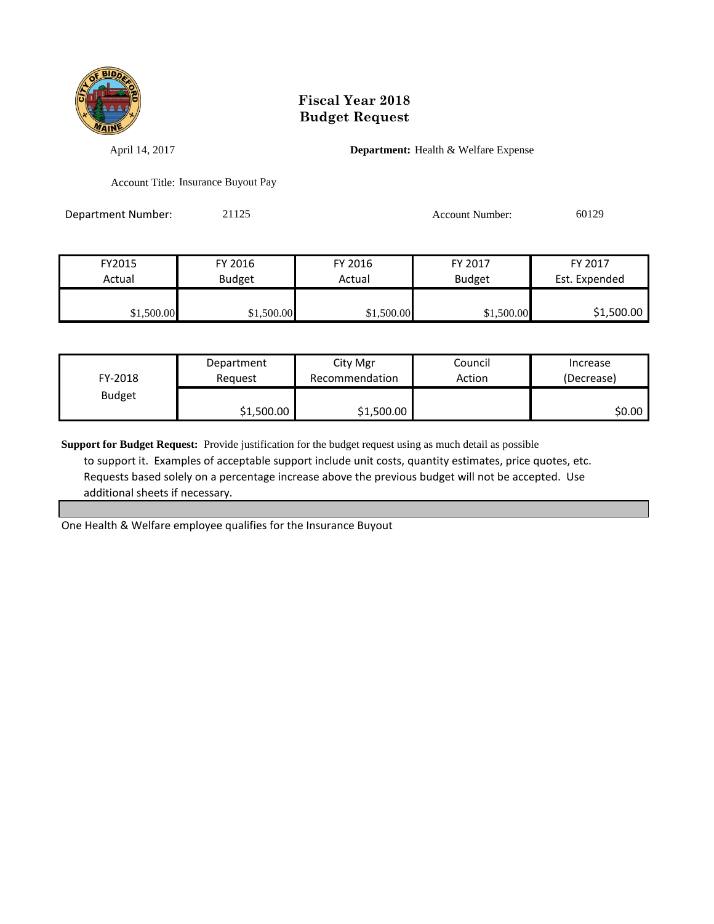

April 14, 2017 **Department:** Health & Welfare Expense

Account Title: Insurance Buyout Pay

Department Number: 21125 21125 Account Number: 60129

| FY2015     | FY 2016       | FY 2016    | FY 2017       | FY 2017       |
|------------|---------------|------------|---------------|---------------|
| Actual     | <b>Budget</b> | Actual     | <b>Budget</b> | Est. Expended |
|            |               |            |               |               |
| \$1,500.00 | \$1,500.00    | \$1,500.00 | \$1,500.00    | \$1,500.00    |

| FY-2018       | Department | City Mgr       | Council | Increase   |
|---------------|------------|----------------|---------|------------|
|               | Reauest    | Recommendation | Action  | (Decrease) |
| <b>Budget</b> | \$1,500.00 | \$1,500.00     |         | SO.OO I    |

**Support for Budget Request:** Provide justification for the budget request using as much detail as possible to support it. Examples of acceptable support include unit costs, quantity estimates, price quotes, etc. Requests based solely on a percentage increase above the previous budget will not be accepted. Use additional sheets if necessary.

One Health & Welfare employee qualifies for the Insurance Buyout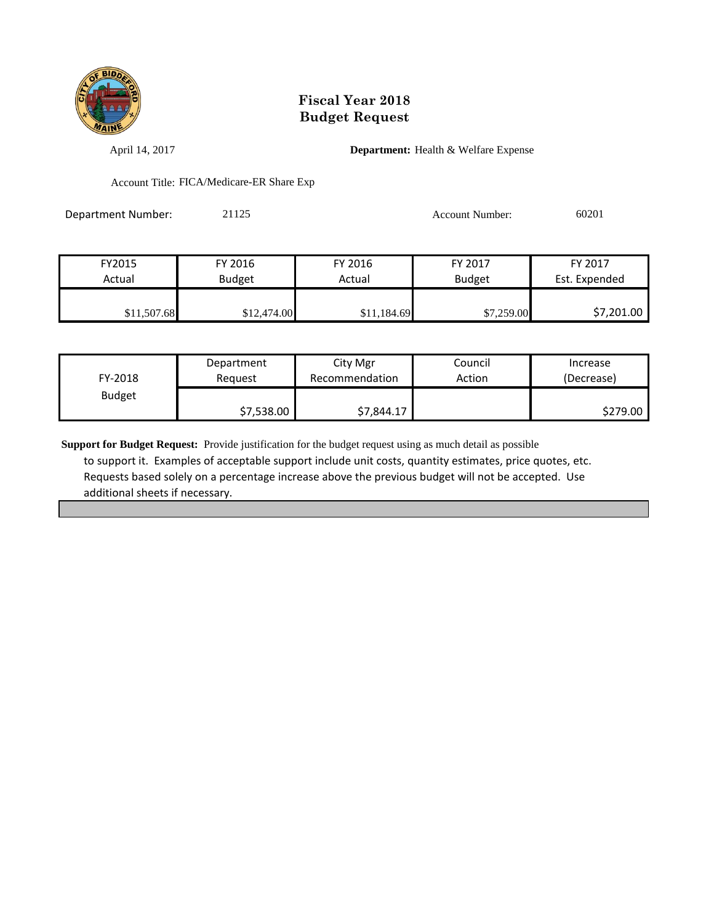

April 14, 2017 **Department:** Health & Welfare Expense

Account Title: FICA/Medicare-ER Share Exp

| Department Number: | 21125 | <b>Account Number:</b> | 60201 |
|--------------------|-------|------------------------|-------|
|                    |       |                        |       |

| FY2015      | FY 2016       | FY 2016     | FY 2017       | FY 2017       |
|-------------|---------------|-------------|---------------|---------------|
| Actual      | <b>Budget</b> | Actual      | <b>Budget</b> | Est. Expended |
|             |               |             |               |               |
| \$11,507.68 | \$12,474.00   | \$11,184.69 | \$7,259.00    | \$7,201.00    |

| FY-2018       | Department | City Mgr       | Council | Increase   |
|---------------|------------|----------------|---------|------------|
|               | Reauest    | Recommendation | Action  | (Decrease) |
| <b>Budget</b> | \$7,538.00 | \$7,844.17     |         | \$279.00   |

**Support for Budget Request:** Provide justification for the budget request using as much detail as possible to support it. Examples of acceptable support include unit costs, quantity estimates, price quotes, etc. Requests based solely on a percentage increase above the previous budget will not be accepted. Use additional sheets if necessary.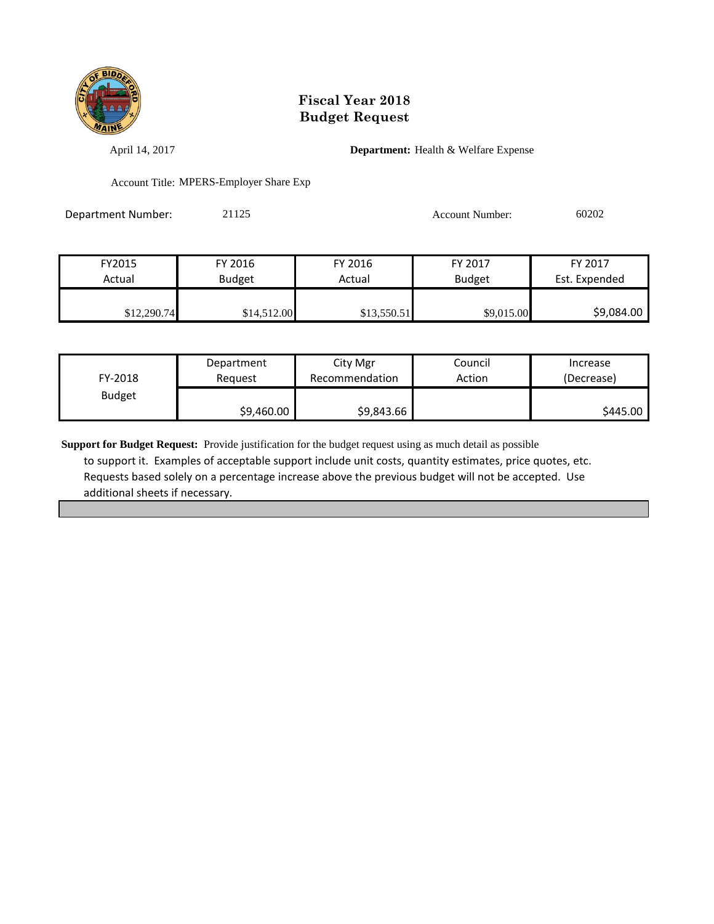

April 14, 2017 **Department:** Health & Welfare Expense

Account Title: MPERS-Employer Share Exp

| <b>Department Number:</b> | 21125 | Account Number: | 60202 |
|---------------------------|-------|-----------------|-------|
|                           |       |                 |       |

| FY2015      | FY 2016     | FY 2016     | FY 2017       | FY 2017       |
|-------------|-------------|-------------|---------------|---------------|
| Actual      | Budget      | Actual      | <b>Budget</b> | Est. Expended |
|             |             |             |               |               |
| \$12,290.74 | \$14,512.00 | \$13,550.51 | \$9,015.00    | \$9,084.00    |

| FY-2018       | Department | City Mgr       | Council | Increase   |
|---------------|------------|----------------|---------|------------|
|               | Reauest    | Recommendation | Action  | (Decrease) |
| <b>Budget</b> | \$9,460.00 | \$9,843.66     |         | \$445.00   |

**Support for Budget Request:** Provide justification for the budget request using as much detail as possible to support it. Examples of acceptable support include unit costs, quantity estimates, price quotes, etc. Requests based solely on a percentage increase above the previous budget will not be accepted. Use additional sheets if necessary.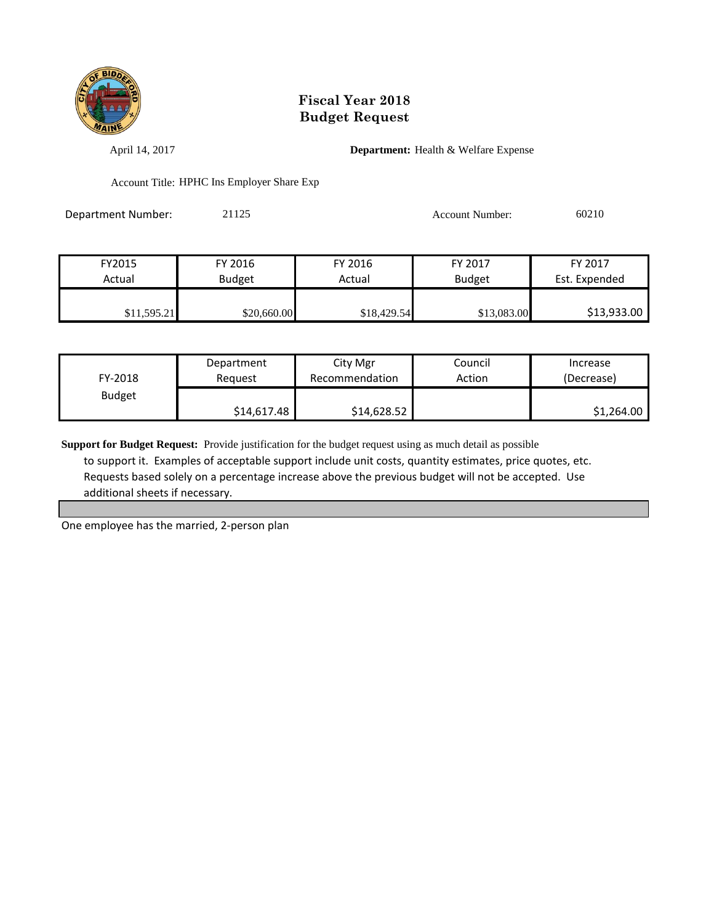

April 14, 2017 **Department:** Health & Welfare Expense

Account Title: HPHC Ins Employer Share Exp

Department Number: 21125 Account Number: 60210

| FY2015      | FY 2016       | FY 2016     | <b>FY 2017</b> | FY 2017       |
|-------------|---------------|-------------|----------------|---------------|
| Actual      | <b>Budget</b> | Actual      | <b>Budget</b>  | Est. Expended |
|             |               |             |                |               |
| \$11,595.21 | \$20,660.00   | \$18,429.54 | \$13,083.00    | \$13,933.00   |

| FY-2018       | Department  | City Mgr       | Council | Increase   |
|---------------|-------------|----------------|---------|------------|
|               | Reauest     | Recommendation | Action  | (Decrease) |
| <b>Budget</b> | \$14,617.48 | \$14,628.52    |         | \$1,264.00 |

**Support for Budget Request:** Provide justification for the budget request using as much detail as possible to support it. Examples of acceptable support include unit costs, quantity estimates, price quotes, etc. Requests based solely on a percentage increase above the previous budget will not be accepted. Use additional sheets if necessary.

One employee has the married, 2-person plan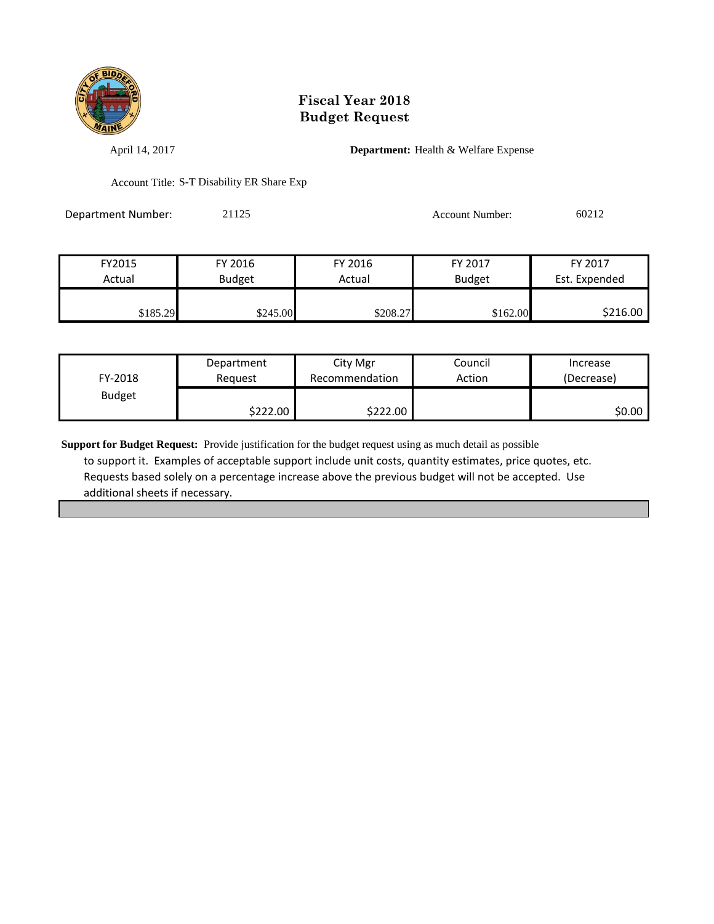

April 14, 2017 **Department:** Health & Welfare Expense

Account Title: S-T Disability ER Share Exp

Department Number: 21125 Account Number: 60212

| FY2015   | FY 2016       | FY 2016  | FY 2017       | FY 2017       |
|----------|---------------|----------|---------------|---------------|
| Actual   | <b>Budget</b> | Actual   | <b>Budget</b> | Est. Expended |
|          |               |          |               |               |
| \$185.29 | \$245.00      | \$208.27 | \$162.00      | \$216.00      |

| FY-2018       | Department | City Mgr       | Council | Increase   |
|---------------|------------|----------------|---------|------------|
|               | Reauest    | Recommendation | Action  | (Decrease) |
| <b>Budget</b> | \$222.00   | \$222.00       |         | \$0.00     |

**Support for Budget Request:** Provide justification for the budget request using as much detail as possible to support it. Examples of acceptable support include unit costs, quantity estimates, price quotes, etc. Requests based solely on a percentage increase above the previous budget will not be accepted. Use additional sheets if necessary.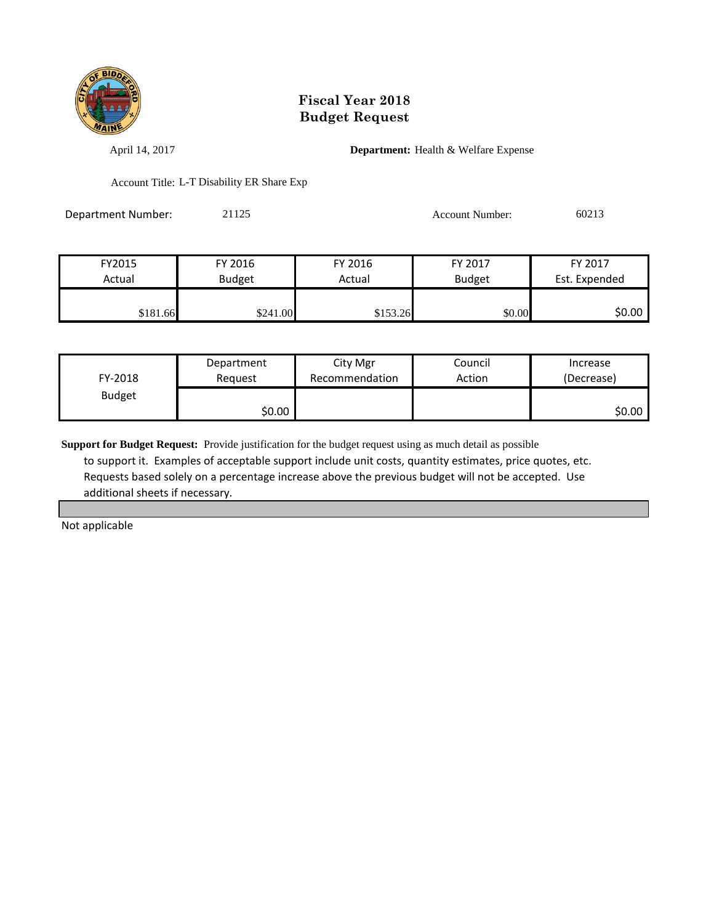

April 14, 2017 **Department:** Health & Welfare Expense

Account Title: L-T Disability ER Share Exp

Department Number: 21125 Account Number: 60213

| FY2015   | FY 2016       | FY 2016  | FY 2017       | FY 2017       |
|----------|---------------|----------|---------------|---------------|
| Actual   | <b>Budget</b> | Actual   | <b>Budget</b> | Est. Expended |
|          |               |          |               |               |
| \$181.66 | \$241.00      | \$153.26 | \$0.00        | \$0.00        |

| FY-2018       | Department | City Mgr       | Council | Increase   |
|---------------|------------|----------------|---------|------------|
|               | Reauest    | Recommendation | Action  | (Decrease) |
| <b>Budget</b> | \$0.00     |                |         | \$0.00     |

**Support for Budget Request:** Provide justification for the budget request using as much detail as possible to support it. Examples of acceptable support include unit costs, quantity estimates, price quotes, etc. Requests based solely on a percentage increase above the previous budget will not be accepted. Use additional sheets if necessary.

Not applicable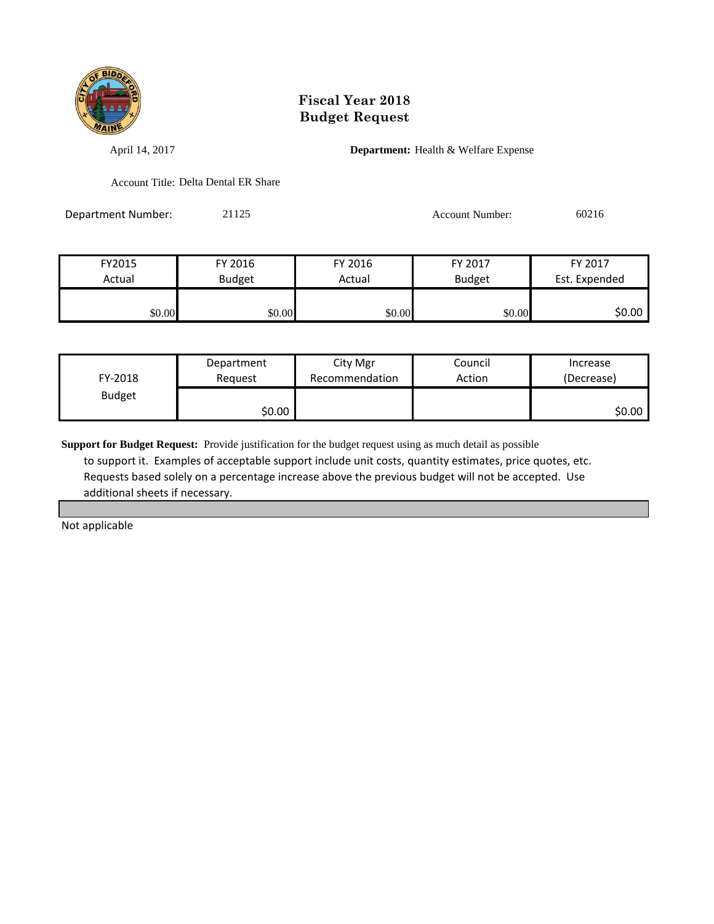

April 14, 2017 **Department:** Health & Welfare Expense

Account Title: Delta Dental ER Share

Department Number: 21125 Account Number: 60216

FY2015 FY 2016 FY 2016 FY 2017 FY 2017 Actual Budget Actual Budget Est. Expended \$0.00 \$0.00 \$0.00 \$0.00 \$0.00 \$0.00 \$0.00 \$0.00

| FY-2018       | Department | City Mgr       | Council | Increase   |
|---------------|------------|----------------|---------|------------|
|               | Reauest    | Recommendation | Action  | (Decrease) |
| <b>Budget</b> | \$0.00     |                |         | \$0.00     |

**Support for Budget Request:** Provide justification for the budget request using as much detail as possible to support it. Examples of acceptable support include unit costs, quantity estimates, price quotes, etc. Requests based solely on a percentage increase above the previous budget will not be accepted. Use additional sheets if necessary.

Not applicable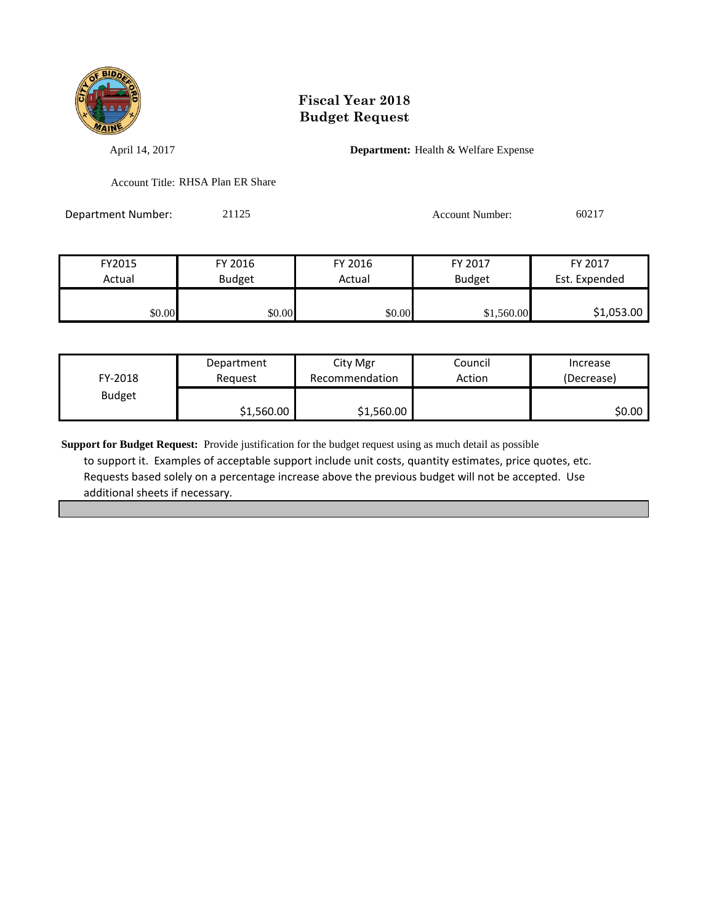

April 14, 2017 **Department:** Health & Welfare Expense

Account Title: RHSA Plan ER Share

Department Number: 21125 Account Number: 60217

| FY2015 | FY 2016       | FY 2016 | FY 2017       | FY 2017       |
|--------|---------------|---------|---------------|---------------|
| Actual | <b>Budget</b> | Actual  | <b>Budget</b> | Est. Expended |
| \$0.00 | \$0.00        | \$0.00  | \$1,560.00    | \$1,053.00    |

| FY-2018       | Department | City Mgr       | Council | Increase   |
|---------------|------------|----------------|---------|------------|
|               | Reauest    | Recommendation | Action  | (Decrease) |
| <b>Budget</b> | \$1,560.00 | \$1,560.00     |         | SO.OO I    |

**Support for Budget Request:** Provide justification for the budget request using as much detail as possible to support it. Examples of acceptable support include unit costs, quantity estimates, price quotes, etc. Requests based solely on a percentage increase above the previous budget will not be accepted. Use additional sheets if necessary.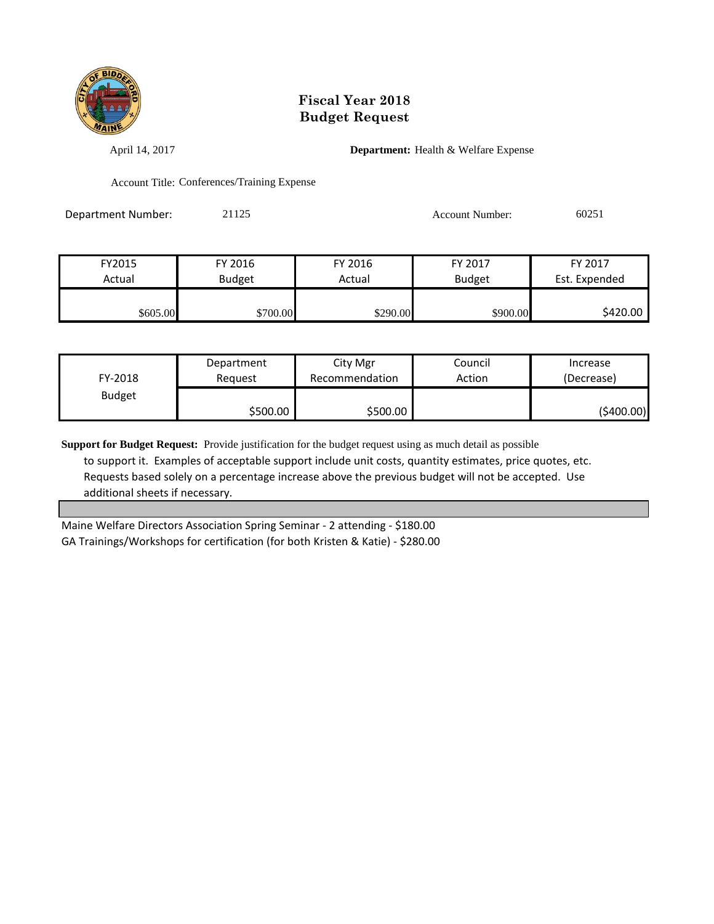

April 14, 2017 **Department:** Health & Welfare Expense

Account Title: Conferences/Training Expense

Department Number: 21125 21125 Account Number: 60251

| FY2015   | FY 2016       | FY 2016  | FY 2017       | FY 2017       |
|----------|---------------|----------|---------------|---------------|
| Actual   | <b>Budget</b> | Actual   | <b>Budget</b> | Est. Expended |
|          |               |          |               |               |
| \$605.00 | \$700.00      | \$290.00 | \$900.00      | \$420.00      |

| FY-2018       | Department | City Mgr       | Council | Increase   |
|---------------|------------|----------------|---------|------------|
|               | Reauest    | Recommendation | Action  | (Decrease) |
| <b>Budget</b> | \$500.00   | \$500.00       |         | (\$400.00) |

**Support for Budget Request:** Provide justification for the budget request using as much detail as possible to support it. Examples of acceptable support include unit costs, quantity estimates, price quotes, etc. Requests based solely on a percentage increase above the previous budget will not be accepted. Use additional sheets if necessary.

Maine Welfare Directors Association Spring Seminar - 2 attending - \$180.00 GA Trainings/Workshops for certification (for both Kristen & Katie) - \$280.00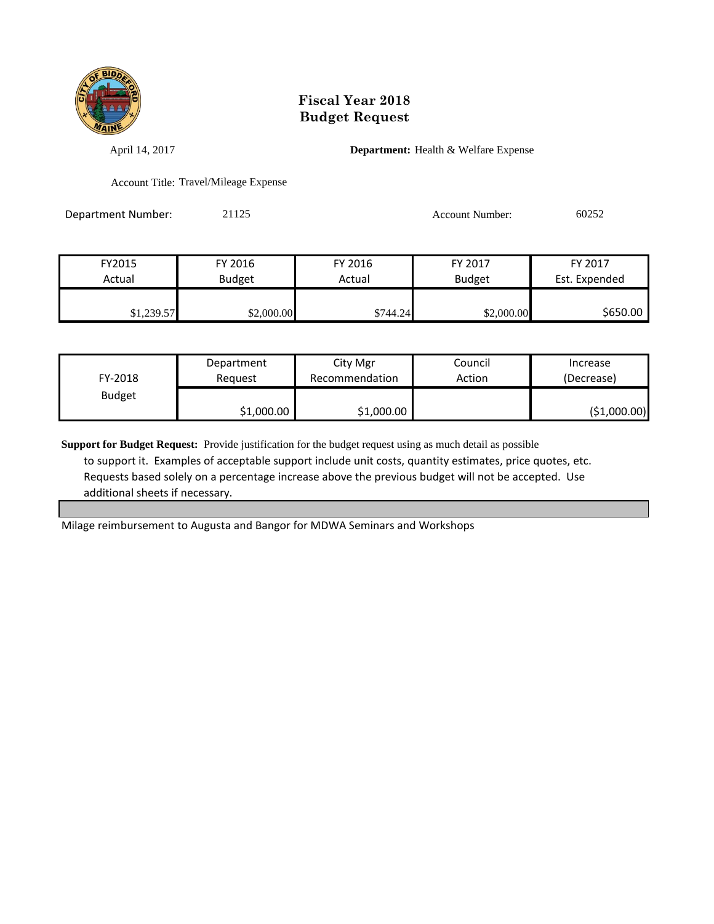

April 14, 2017 **Department:** Health & Welfare Expense

Account Title: Travel/Mileage Expense

Department Number: 21125 Account Number: 60252

| FY2015     | FY 2016       | FY 2016  | FY 2017       | FY 2017       |
|------------|---------------|----------|---------------|---------------|
| Actual     | <b>Budget</b> | Actual   | <b>Budget</b> | Est. Expended |
|            |               |          |               |               |
| \$1,239.57 | \$2,000.00    | \$744.24 | \$2,000.00    | \$650.00      |

| FY-2018       | Department | City Mgr       | Council | Increase     |
|---------------|------------|----------------|---------|--------------|
|               | Reauest    | Recommendation | Action  | (Decrease)   |
| <b>Budget</b> | \$1,000.00 | \$1,000.00     |         | (\$1,000.00) |

**Support for Budget Request:** Provide justification for the budget request using as much detail as possible to support it. Examples of acceptable support include unit costs, quantity estimates, price quotes, etc. Requests based solely on a percentage increase above the previous budget will not be accepted. Use additional sheets if necessary.

Milage reimbursement to Augusta and Bangor for MDWA Seminars and Workshops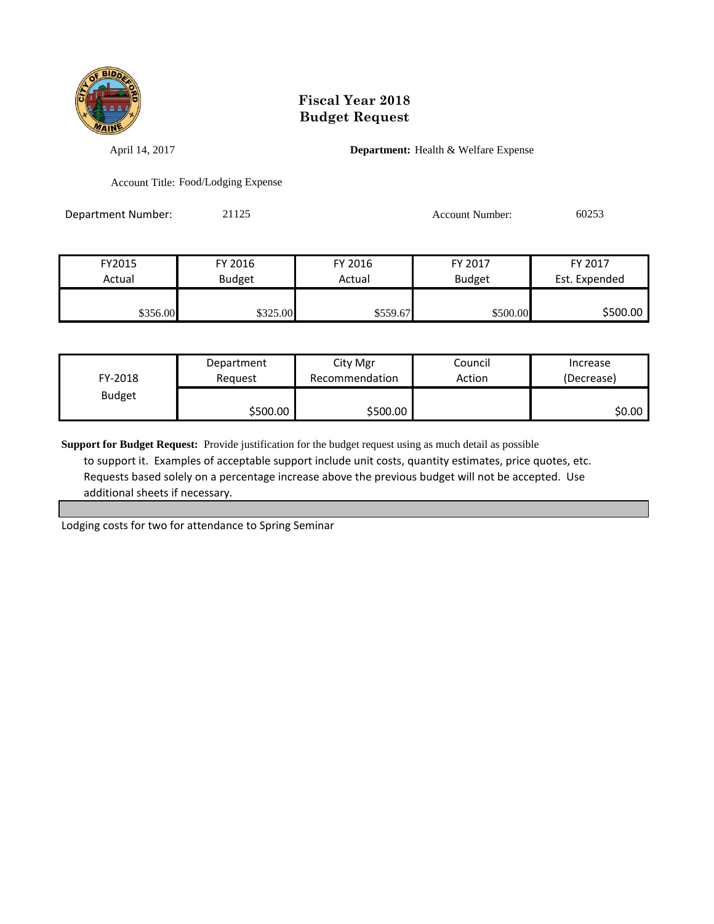

April 14, 2017 **Department:** Health & Welfare Expense

Account Title: Food/Lodging Expense

Department Number: 21125 21125 Account Number: 60253

| FY2015   | FY 2016       | FY 2016  | FY 2017       | FY 2017       |
|----------|---------------|----------|---------------|---------------|
| Actual   | <b>Budget</b> | Actual   | <b>Budget</b> | Est. Expended |
|          |               |          |               |               |
| \$356.00 | \$325.00      | \$559.67 | \$500.00      | \$500.00      |

| FY-2018       | Department | City Mgr       | Council | Increase   |
|---------------|------------|----------------|---------|------------|
|               | Reauest    | Recommendation | Action  | (Decrease) |
| <b>Budget</b> | \$500.00   | \$500.00       |         | \$0.00     |

**Support for Budget Request:** Provide justification for the budget request using as much detail as possible to support it. Examples of acceptable support include unit costs, quantity estimates, price quotes, etc. Requests based solely on a percentage increase above the previous budget will not be accepted. Use additional sheets if necessary.

Lodging costs for two for attendance to Spring Seminar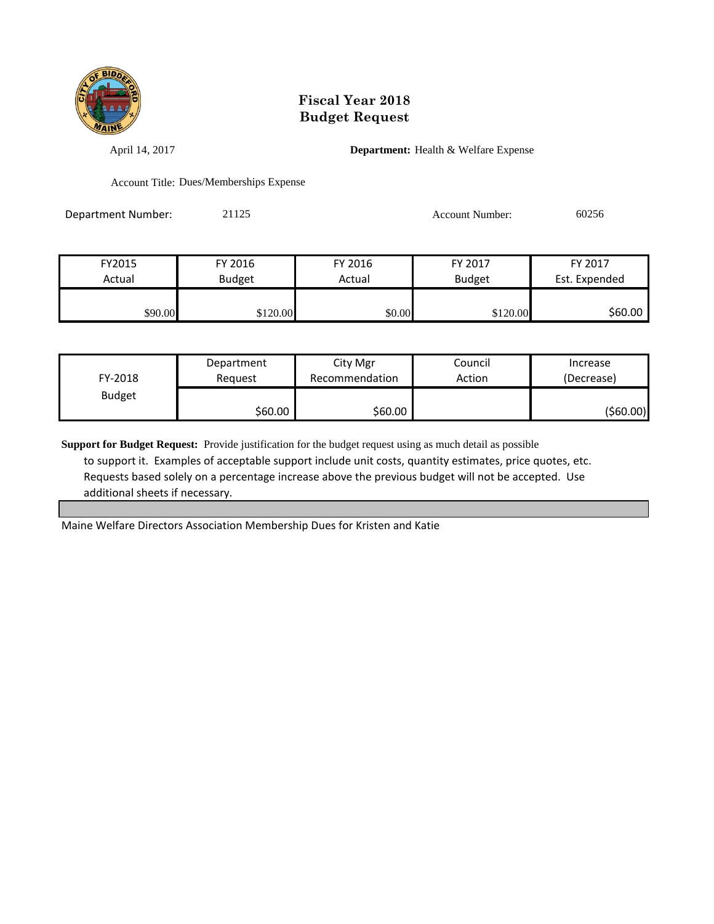

April 14, 2017 **Department:** Health & Welfare Expense

Account Title: Dues/Memberships Expense

Department Number: 21125 Account Number: 60256

| FY2015  | FY 2016       | FY 2016 | FY 2017       | FY 2017       |
|---------|---------------|---------|---------------|---------------|
| Actual  | <b>Budget</b> | Actual  | <b>Budget</b> | Est. Expended |
|         |               |         |               |               |
| \$90.00 | \$120.00      | \$0.00  | \$120.00      | \$60.00       |

| FY-2018       | Department | City Mgr       | Council | Increase   |
|---------------|------------|----------------|---------|------------|
|               | Reauest    | Recommendation | Action  | (Decrease) |
| <b>Budget</b> | \$60.00    | \$60.00        |         | (\$60.00)  |

**Support for Budget Request:** Provide justification for the budget request using as much detail as possible to support it. Examples of acceptable support include unit costs, quantity estimates, price quotes, etc. Requests based solely on a percentage increase above the previous budget will not be accepted. Use additional sheets if necessary.

Maine Welfare Directors Association Membership Dues for Kristen and Katie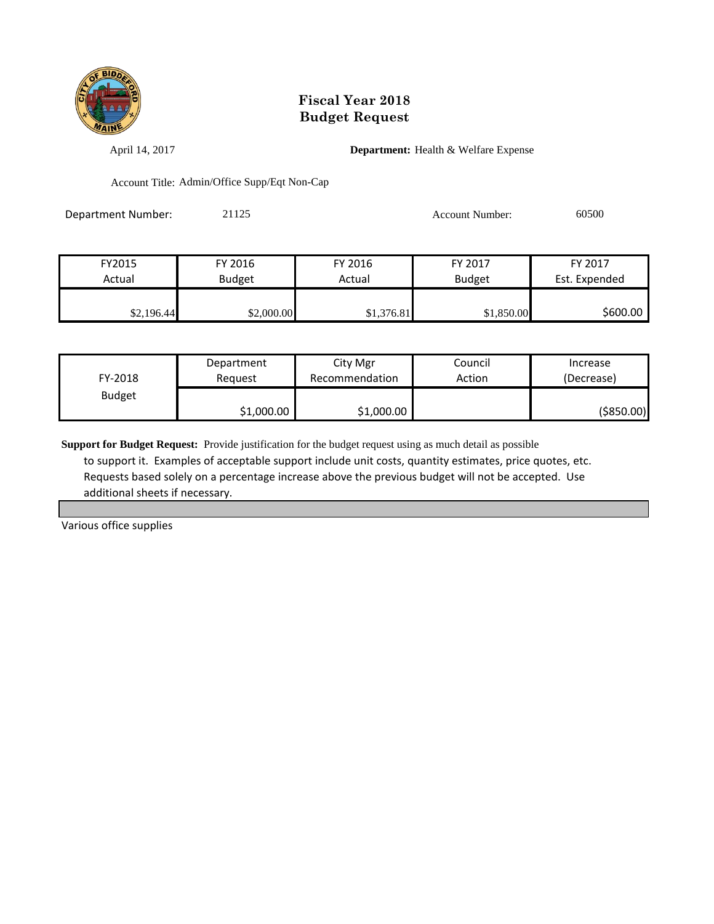

April 14, 2017 **Department:** Health & Welfare Expense

Account Title: Admin/Office Supp/Eqt Non-Cap

Department Number: 21125 21125 Account Number: 60500

| FY2015     | FY 2016       | FY 2016    | FY 2017       | FY 2017       |
|------------|---------------|------------|---------------|---------------|
| Actual     | <b>Budget</b> | Actual     | <b>Budget</b> | Est. Expended |
|            |               |            |               |               |
| \$2,196.44 | \$2,000.00    | \$1,376.81 | \$1,850.00    | \$600.00      |

| FY-2018       | Department | City Mgr       | Council | Increase   |
|---------------|------------|----------------|---------|------------|
|               | Reauest    | Recommendation | Action  | (Decrease) |
| <b>Budget</b> | \$1,000.00 | \$1,000.00     |         | (\$850.00) |

**Support for Budget Request:** Provide justification for the budget request using as much detail as possible to support it. Examples of acceptable support include unit costs, quantity estimates, price quotes, etc. Requests based solely on a percentage increase above the previous budget will not be accepted. Use additional sheets if necessary.

Various office supplies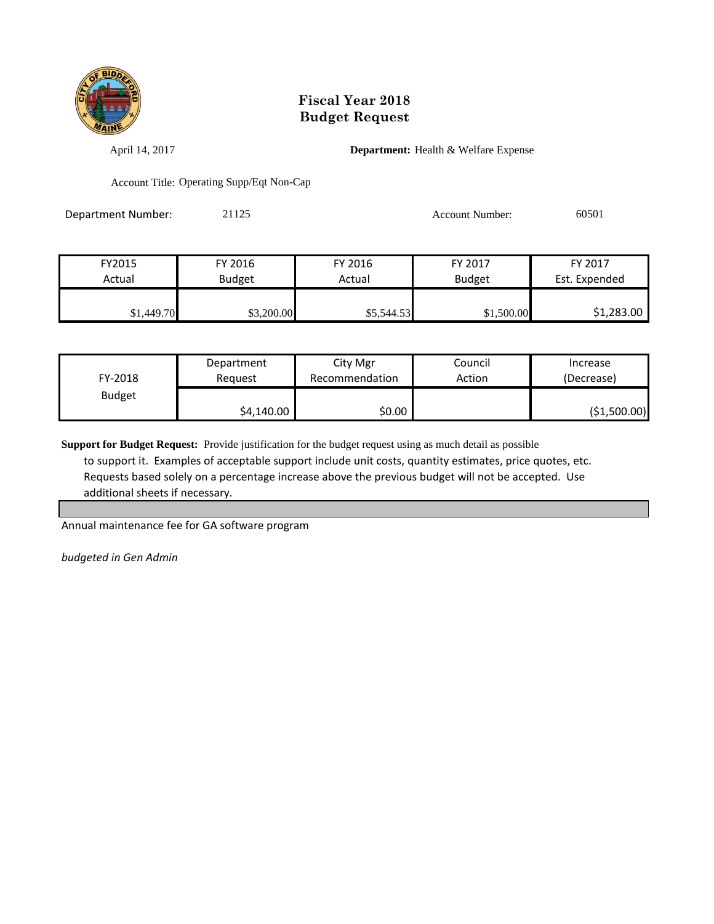

April 14, 2017 **Department:** Health & Welfare Expense

Account Title: Operating Supp/Eqt Non-Cap

Department Number: 21125 21125 Account Number: 60501

| FY2015     | FY 2016       | FY 2016    | FY 2017       | FY 2017       |
|------------|---------------|------------|---------------|---------------|
| Actual     | <b>Budget</b> | Actual     | <b>Budget</b> | Est. Expended |
|            |               |            |               |               |
| \$1,449.70 | \$3,200.00    | \$5,544.53 | \$1,500.00    | \$1,283.00    |

| FY-2018       | Department | City Mgr       | Council | Increase     |
|---------------|------------|----------------|---------|--------------|
|               | Reauest    | Recommendation | Action  | (Decrease)   |
| <b>Budget</b> | \$4,140.00 | \$0.00         |         | (\$1,500.00) |

**Support for Budget Request:** Provide justification for the budget request using as much detail as possible to support it. Examples of acceptable support include unit costs, quantity estimates, price quotes, etc. Requests based solely on a percentage increase above the previous budget will not be accepted. Use additional sheets if necessary.

Annual maintenance fee for GA software program

*budgeted in Gen Admin*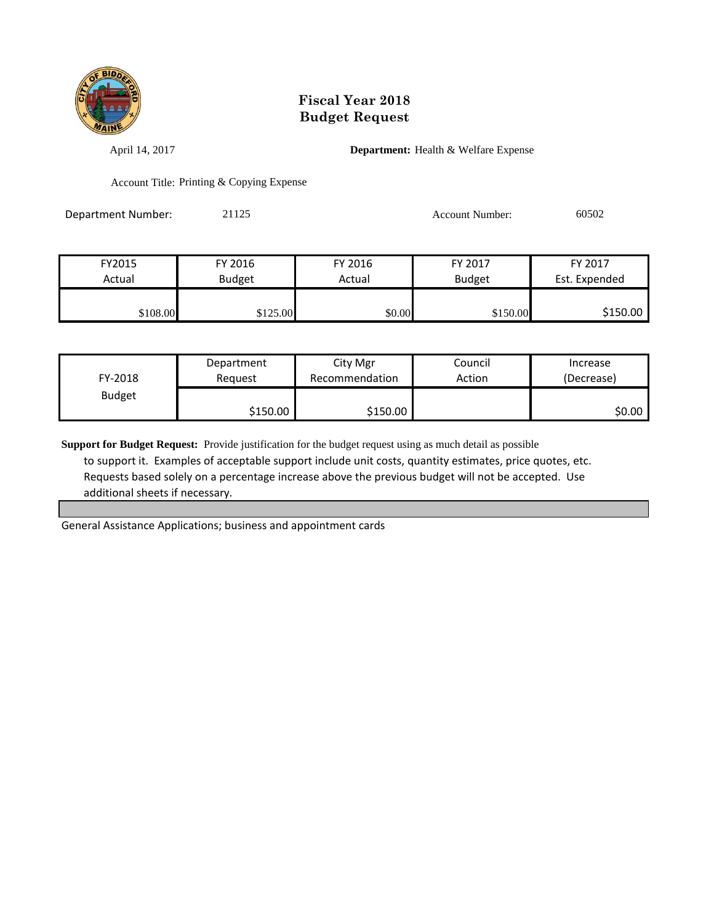

April 14, 2017 **Department:** Health & Welfare Expense

Account Title: Printing & Copying Expense

Department Number: 21125 21125 Account Number: 60502

| FY2015   | FY 2016       | FY 2016 | FY 2017       | FY 2017       |
|----------|---------------|---------|---------------|---------------|
| Actual   | <b>Budget</b> | Actual  | <b>Budget</b> | Est. Expended |
|          |               |         |               |               |
| \$108.00 | \$125.00      | \$0.00  | \$150.00      | \$150.00      |

| FY-2018       | Department | City Mgr       | Council | Increase   |
|---------------|------------|----------------|---------|------------|
|               | Reauest    | Recommendation | Action  | (Decrease) |
| <b>Budget</b> | \$150.00   | \$150.00       |         | \$0.00     |

**Support for Budget Request:** Provide justification for the budget request using as much detail as possible to support it. Examples of acceptable support include unit costs, quantity estimates, price quotes, etc. Requests based solely on a percentage increase above the previous budget will not be accepted. Use additional sheets if necessary.

General Assistance Applications; business and appointment cards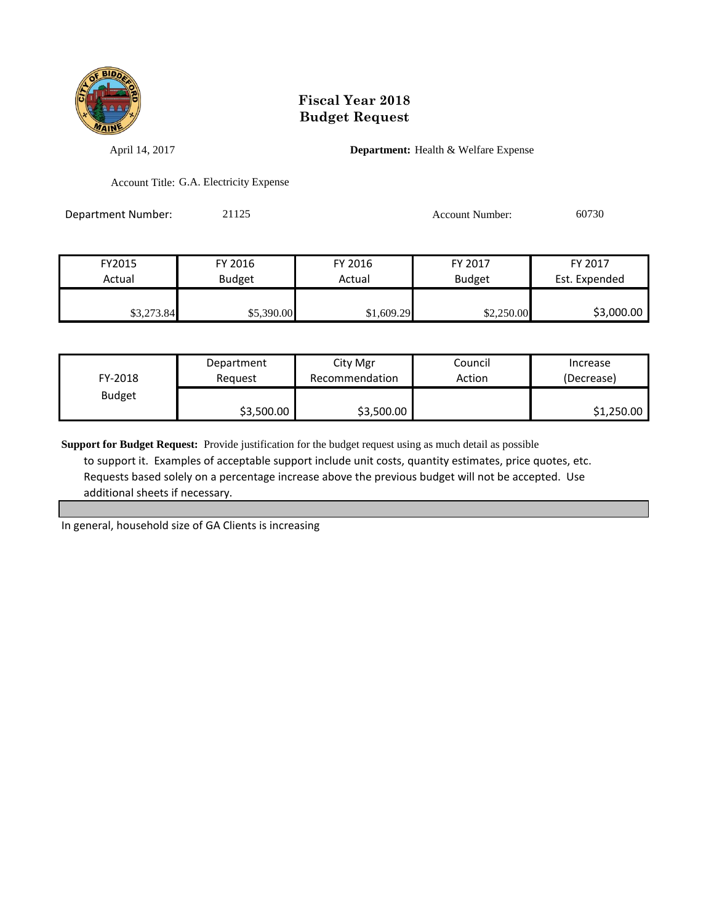

April 14, 2017 **Department:** Health & Welfare Expense

Account Title: G.A. Electricity Expense

Department Number: 21125 21125 Account Number: 60730

FY2015 FY 2016 FY 2016 FY 2017 FY 2017 Actual | Budget | Actual | Budget Est. Expended \$3,273.84 \$5,390.00 \$1,609.29 \$2,250.00 \$3,000.00

| FY-2018       | Department | City Mgr       | Council | Increase   |
|---------------|------------|----------------|---------|------------|
|               | Reauest    | Recommendation | Action  | (Decrease) |
| <b>Budget</b> | \$3,500.00 | \$3,500.00     |         | \$1,250.00 |

**Support for Budget Request:** Provide justification for the budget request using as much detail as possible to support it. Examples of acceptable support include unit costs, quantity estimates, price quotes, etc. Requests based solely on a percentage increase above the previous budget will not be accepted. Use additional sheets if necessary.

In general, household size of GA Clients is increasing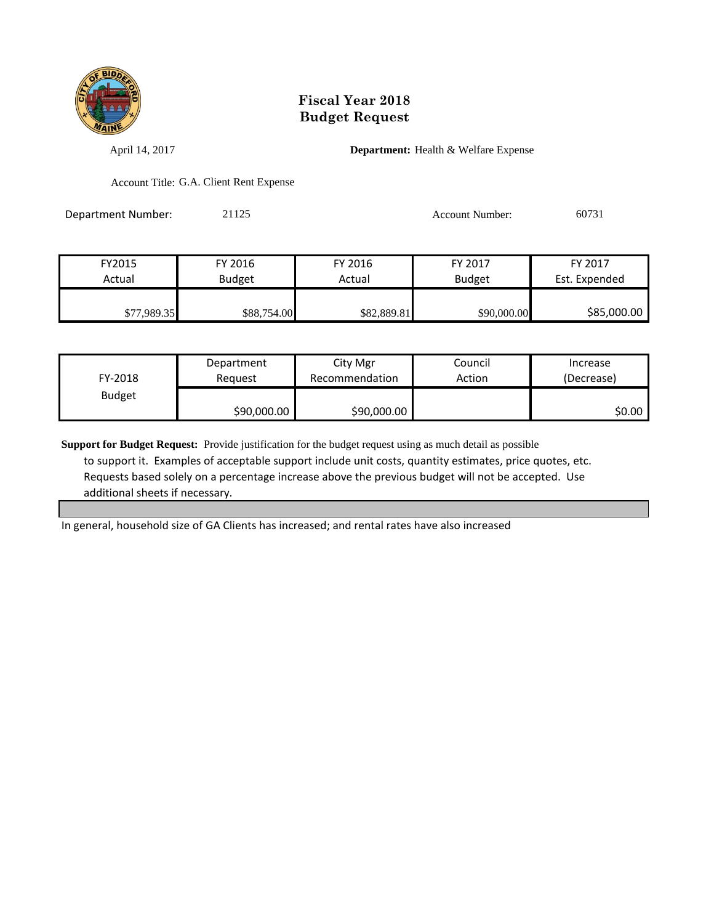

April 14, 2017 **Department:** Health & Welfare Expense

Account Title: G.A. Client Rent Expense

Department Number: 21125 21125 Account Number: 60731

| FY2015      | FY 2016       | FY 2016     | FY 2017       | FY 2017       |
|-------------|---------------|-------------|---------------|---------------|
| Actual      | <b>Budget</b> | Actual      | <b>Budget</b> | Est. Expended |
|             |               |             |               |               |
| \$77,989.35 | \$88,754.00   | \$82,889.81 | \$90,000.00   | \$85,000.00   |

| FY-2018       | Department  | City Mgr       | Council | Increase   |
|---------------|-------------|----------------|---------|------------|
|               | Reauest     | Recommendation | Action  | (Decrease) |
| <b>Budget</b> | \$90,000.00 | \$90,000.00    |         | SO.OO I    |

**Support for Budget Request:** Provide justification for the budget request using as much detail as possible to support it. Examples of acceptable support include unit costs, quantity estimates, price quotes, etc. Requests based solely on a percentage increase above the previous budget will not be accepted. Use additional sheets if necessary.

In general, household size of GA Clients has increased; and rental rates have also increased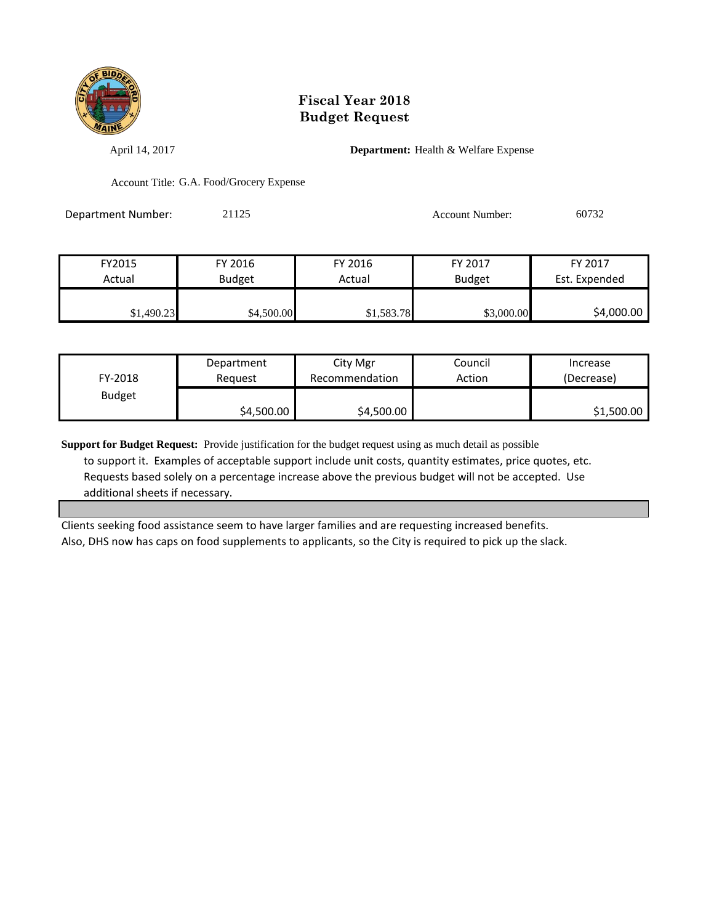

April 14, 2017 **Department:** Health & Welfare Expense

Account Title: G.A. Food/Grocery Expense

Department Number: 21125 21125 Account Number: 60732

| FY2015     | FY 2016       | FY 2016    | FY 2017       | FY 2017       |
|------------|---------------|------------|---------------|---------------|
| Actual     | <b>Budget</b> | Actual     | <b>Budget</b> | Est. Expended |
|            |               |            |               |               |
| \$1,490.23 | \$4,500.00    | \$1,583.78 | \$3,000.00    | \$4,000.00    |

| FY-2018       | Department | City Mgr       | Council | Increase   |
|---------------|------------|----------------|---------|------------|
|               | Reauest    | Recommendation | Action  | (Decrease) |
| <b>Budget</b> | \$4,500.00 | \$4,500.00     |         | \$1,500.00 |

**Support for Budget Request:** Provide justification for the budget request using as much detail as possible to support it. Examples of acceptable support include unit costs, quantity estimates, price quotes, etc. Requests based solely on a percentage increase above the previous budget will not be accepted. Use additional sheets if necessary.

Clients seeking food assistance seem to have larger families and are requesting increased benefits. Also, DHS now has caps on food supplements to applicants, so the City is required to pick up the slack.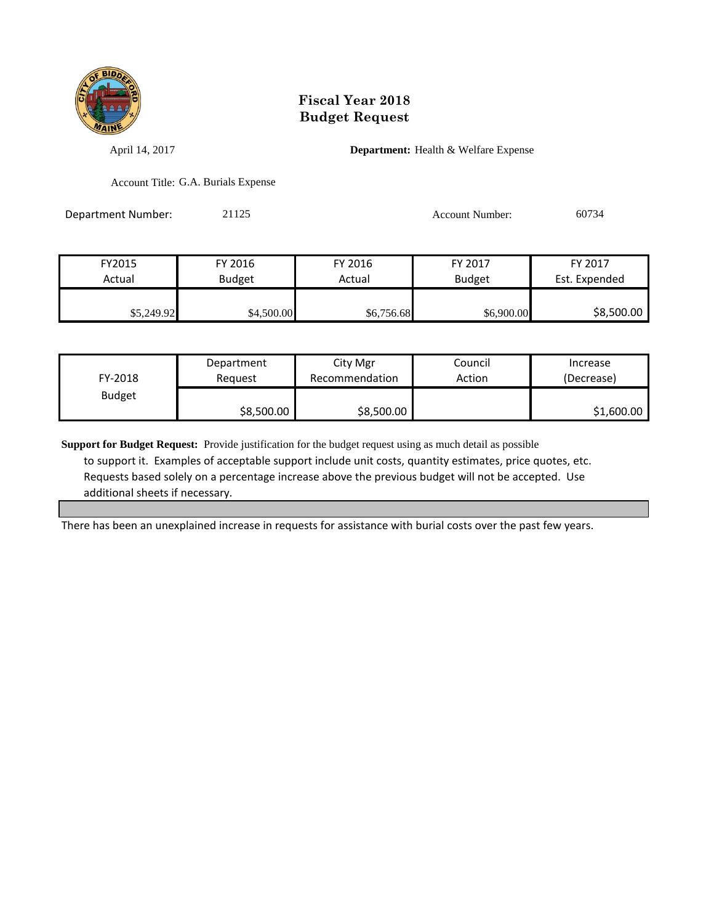

April 14, 2017 **Department:** Health & Welfare Expense

Account Title: G.A. Burials Expense

Department Number: 21125 21125 Account Number: 60734

| FY2015     | FY 2016       | FY 2016    | FY 2017       | FY 2017       |
|------------|---------------|------------|---------------|---------------|
| Actual     | <b>Budget</b> | Actual     | <b>Budget</b> | Est. Expended |
|            |               |            |               |               |
| \$5,249.92 | \$4,500.00    | \$6,756.68 | \$6,900.00    | \$8,500.00    |

| FY-2018       | Department | City Mgr       | Council | Increase   |
|---------------|------------|----------------|---------|------------|
|               | Reauest    | Recommendation | Action  | (Decrease) |
| <b>Budget</b> | \$8,500.00 | \$8,500.00     |         | \$1,600.00 |

**Support for Budget Request:** Provide justification for the budget request using as much detail as possible to support it. Examples of acceptable support include unit costs, quantity estimates, price quotes, etc. Requests based solely on a percentage increase above the previous budget will not be accepted. Use additional sheets if necessary.

There has been an unexplained increase in requests for assistance with burial costs over the past few years.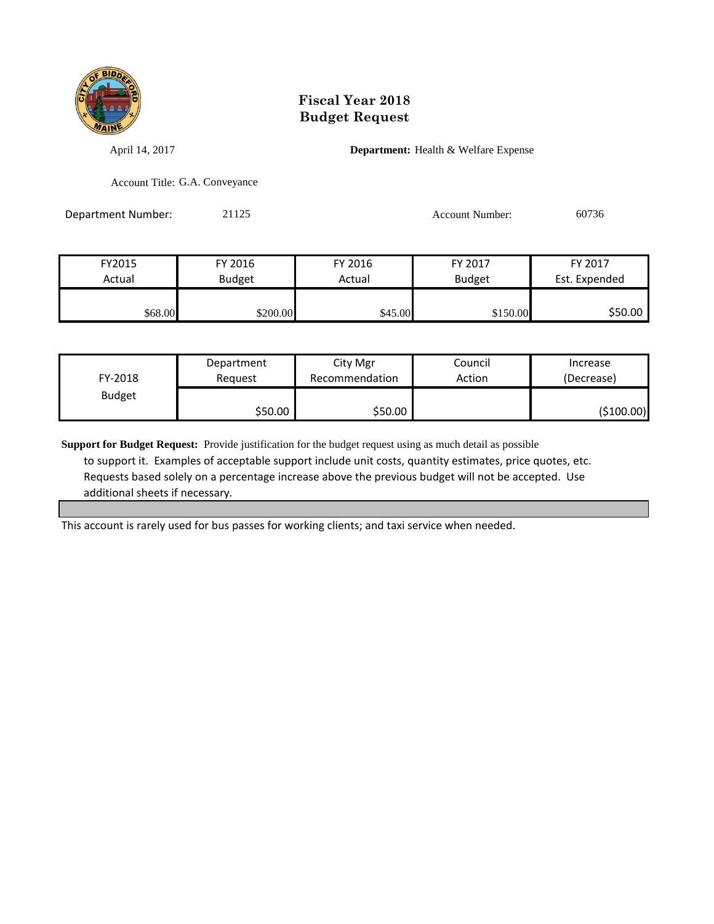

April 14, 2017 **Department:** Health & Welfare Expense

Account Title: G.A. Conveyance

Department Number: 21125 Account Number: 60736

| FY2015  | FY 2016       | FY 2016 | FY 2017       | FY 2017       |
|---------|---------------|---------|---------------|---------------|
| Actual  | <b>Budget</b> | Actual  | <b>Budget</b> | Est. Expended |
|         |               |         |               |               |
| \$68.00 | \$200.00      | \$45.00 | \$150.00      | \$50.00       |

| FY-2018       | Department | City Mgr       | Council | Increase   |
|---------------|------------|----------------|---------|------------|
|               | Reauest    | Recommendation | Action  | (Decrease) |
| <b>Budget</b> | \$50.00    | \$50.00        |         | (\$100.00) |

**Support for Budget Request:** Provide justification for the budget request using as much detail as possible to support it. Examples of acceptable support include unit costs, quantity estimates, price quotes, etc. Requests based solely on a percentage increase above the previous budget will not be accepted. Use additional sheets if necessary.

This account is rarely used for bus passes for working clients; and taxi service when needed.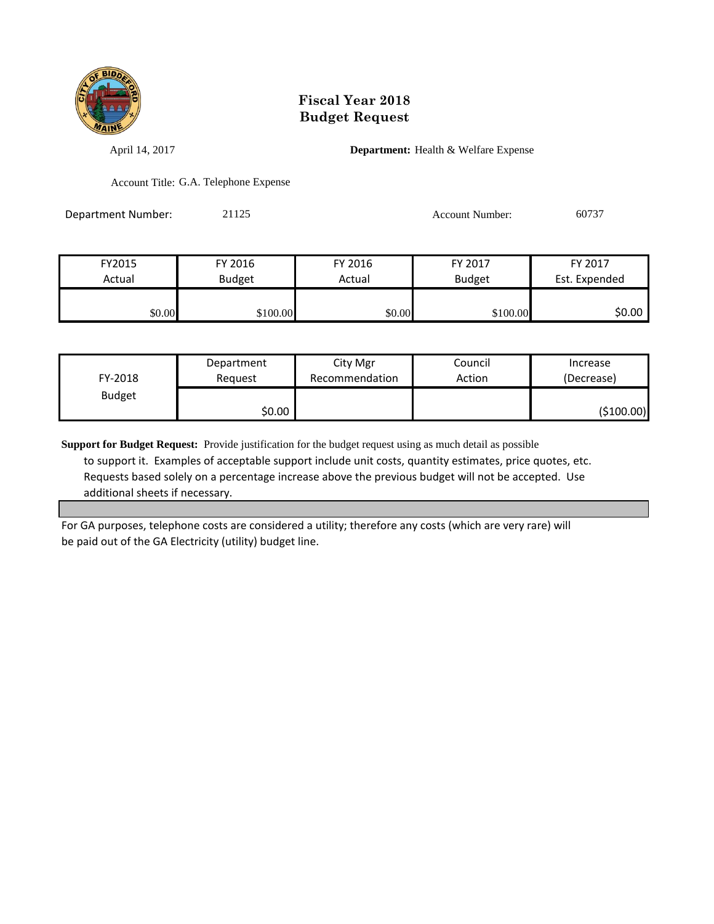

April 14, 2017 **Department:** Health & Welfare Expense

Account Title: G.A. Telephone Expense

Department Number: 21125 21125 Account Number: 60737

| FY2015 | FY 2016       | FY 2016 | FY 2017       | FY 2017       |
|--------|---------------|---------|---------------|---------------|
| Actual | <b>Budget</b> | Actual  | <b>Budget</b> | Est. Expended |
|        |               |         |               |               |
| \$0.00 | \$100.00      | \$0.00  | \$100.00      | \$0.00        |

| FY-2018       | Department | City Mgr       | Council | Increase    |
|---------------|------------|----------------|---------|-------------|
|               | Reauest    | Recommendation | Action  | (Decrease)  |
| <b>Budget</b> | \$0.00     |                |         | ( \$100.00] |

**Support for Budget Request:** Provide justification for the budget request using as much detail as possible to support it. Examples of acceptable support include unit costs, quantity estimates, price quotes, etc. Requests based solely on a percentage increase above the previous budget will not be accepted. Use additional sheets if necessary.

For GA purposes, telephone costs are considered a utility; therefore any costs (which are very rare) will be paid out of the GA Electricity (utility) budget line.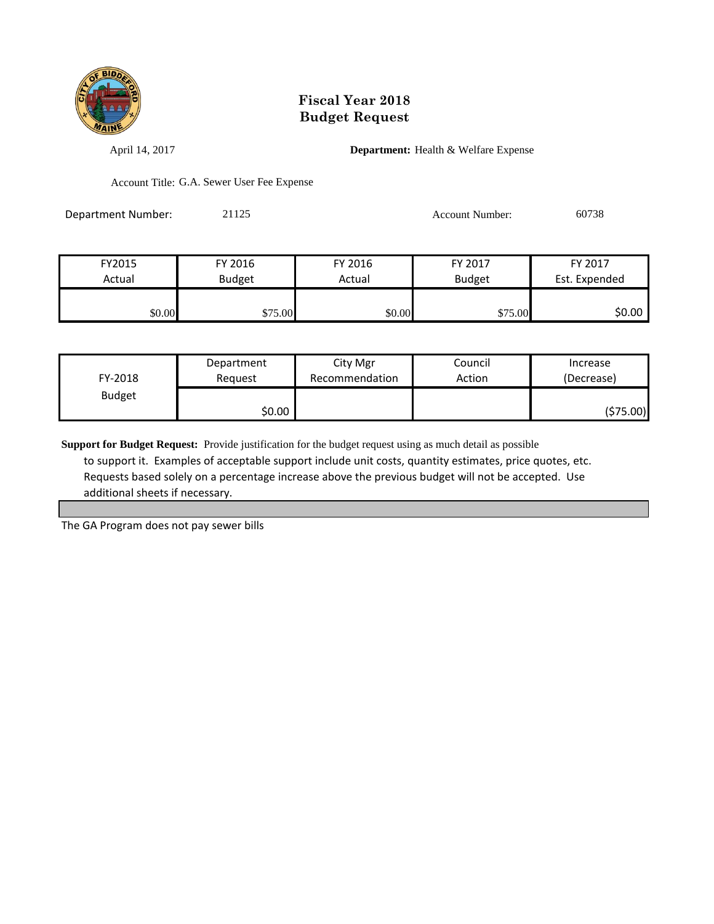

April 14, 2017 **Department:** Health & Welfare Expense

Account Title: G.A. Sewer User Fee Expense

Department Number: 21125 Account Number: 60738

| FY2015 | FY 2016       | FY 2016 | FY 2017       | FY 2017       |
|--------|---------------|---------|---------------|---------------|
| Actual | <b>Budget</b> | Actual  | <b>Budget</b> | Est. Expended |
|        |               |         |               |               |
| \$0.00 | \$75.00       | \$0.00  | \$75.00       | \$0.00        |

| FY-2018       | Department | City Mgr       | Council | Increase   |
|---------------|------------|----------------|---------|------------|
|               | Reauest    | Recommendation | Action  | (Decrease) |
| <b>Budget</b> | \$0.00     |                |         | (\$75.00)  |

**Support for Budget Request:** Provide justification for the budget request using as much detail as possible to support it. Examples of acceptable support include unit costs, quantity estimates, price quotes, etc. Requests based solely on a percentage increase above the previous budget will not be accepted. Use additional sheets if necessary.

The GA Program does not pay sewer bills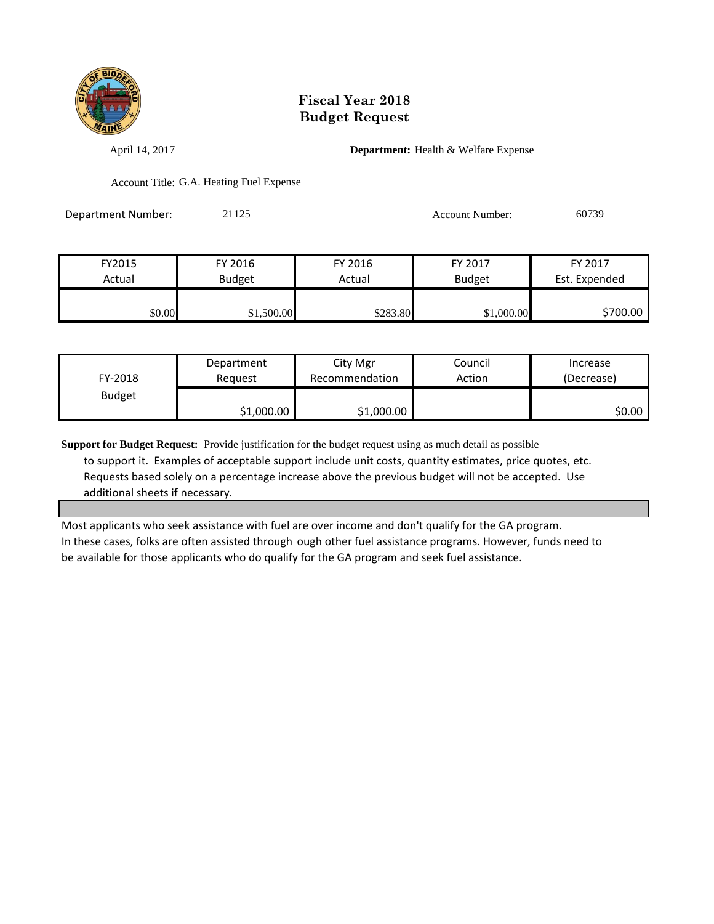

April 14, 2017 **Department:** Health & Welfare Expense

Account Title: G.A. Heating Fuel Expense

Department Number: 21125 21125 Account Number: 60739

| FY2015 | FY 2016       | FY 2016  | FY 2017       | FY 2017       |
|--------|---------------|----------|---------------|---------------|
| Actual | <b>Budget</b> | Actual   | <b>Budget</b> | Est. Expended |
|        |               |          |               |               |
| \$0.00 | \$1,500.00    | \$283.80 | \$1,000.00    | \$700.00      |

| FY-2018       | Department | City Mgr       | Council | Increase   |
|---------------|------------|----------------|---------|------------|
|               | Reauest    | Recommendation | Action  | (Decrease) |
| <b>Budget</b> | \$1,000.00 | \$1,000.00     |         | SO.OO I    |

**Support for Budget Request:** Provide justification for the budget request using as much detail as possible to support it. Examples of acceptable support include unit costs, quantity estimates, price quotes, etc. Requests based solely on a percentage increase above the previous budget will not be accepted. Use additional sheets if necessary.

Most applicants who seek assistance with fuel are over income and don't qualify for the GA program. In these cases, folks are often assisted through ough other fuel assistance programs. However, funds need to be available for those applicants who do qualify for the GA program and seek fuel assistance.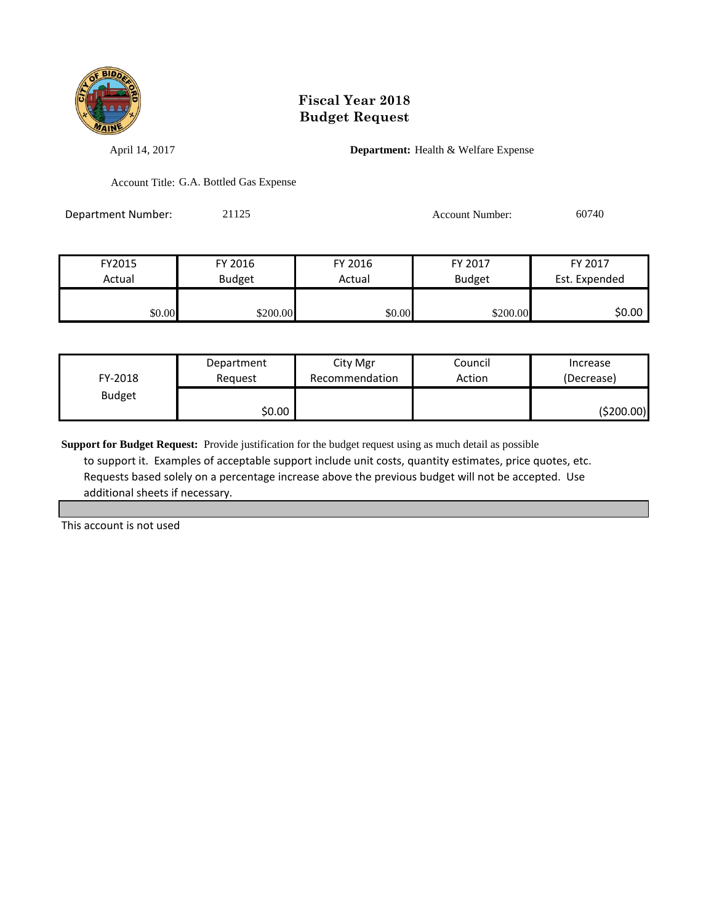

April 14, 2017 **Department:** Health & Welfare Expense

Account Title: G.A. Bottled Gas Expense

Department Number: 21125 21125 Account Number: 60740

| FY2015 | FY 2016       | FY 2016 | FY 2017       | FY 2017       |
|--------|---------------|---------|---------------|---------------|
| Actual | <b>Budget</b> | Actual  | <b>Budget</b> | Est. Expended |
|        |               |         |               |               |
| \$0.00 | \$200.00      | \$0.00  | \$200.00      | \$0.00        |

| FY-2018       | Department | City Mgr       | Council | Increase   |
|---------------|------------|----------------|---------|------------|
|               | Reguest    | Recommendation | Action  | (Decrease) |
| <b>Budget</b> | \$0.00     |                |         | (\$200.00) |

**Support for Budget Request:** Provide justification for the budget request using as much detail as possible to support it. Examples of acceptable support include unit costs, quantity estimates, price quotes, etc. Requests based solely on a percentage increase above the previous budget will not be accepted. Use additional sheets if necessary.

This account is not used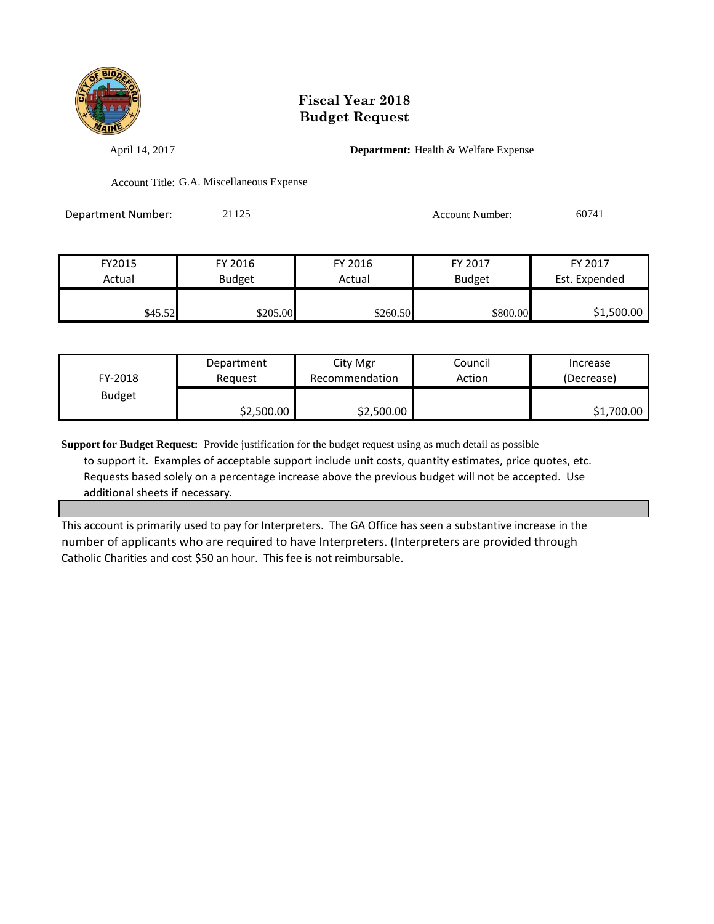

April 14, 2017 **Department:** Health & Welfare Expense

Account Title: G.A. Miscellaneous Expense

Department Number: 21125 21125 Account Number: 60741

| FY2015  | FY 2016       | FY 2016  | FY 2017       | FY 2017       |
|---------|---------------|----------|---------------|---------------|
| Actual  | <b>Budget</b> | Actual   | <b>Budget</b> | Est. Expended |
|         |               |          |               |               |
| \$45.52 | \$205.00      | \$260.50 | \$800.00      | \$1,500.00    |

| FY-2018       | Department | City Mgr       | Council | Increase   |
|---------------|------------|----------------|---------|------------|
|               | Reauest    | Recommendation | Action  | (Decrease) |
| <b>Budget</b> | \$2,500.00 | \$2,500.00     |         | \$1,700.00 |

**Support for Budget Request:** Provide justification for the budget request using as much detail as possible to support it. Examples of acceptable support include unit costs, quantity estimates, price quotes, etc. Requests based solely on a percentage increase above the previous budget will not be accepted. Use additional sheets if necessary.

This account is primarily used to pay for Interpreters. The GA Office has seen a substantive increase in the number of applicants who are required to have Interpreters. (Interpreters are provided through Catholic Charities and cost \$50 an hour. This fee is not reimbursable.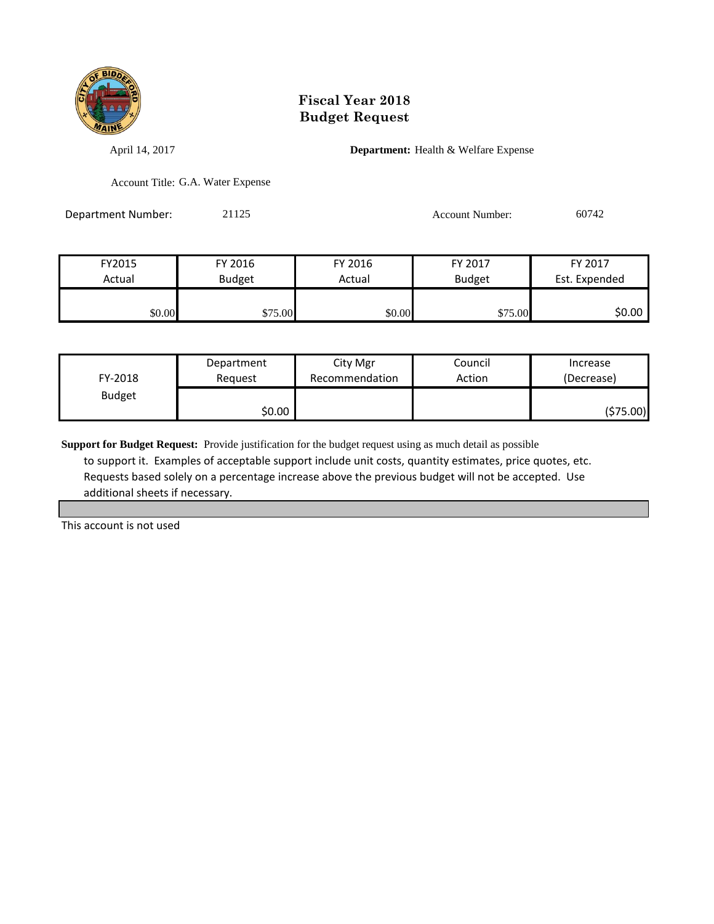

April 14, 2017 **Department:** Health & Welfare Expense

Account Title: G.A. Water Expense

Department Number: 21125 Account Number: 60742

| FY2015 | FY 2016       | FY 2016 | FY 2017       | FY 2017       |
|--------|---------------|---------|---------------|---------------|
| Actual | <b>Budget</b> | Actual  | <b>Budget</b> | Est. Expended |
|        |               |         |               |               |
| \$0.00 | \$75.00       | \$0.00  | \$75.00       | \$0.00        |

| FY-2018       | Department | City Mgr       | Council | Increase   |
|---------------|------------|----------------|---------|------------|
|               | Reauest    | Recommendation | Action  | (Decrease) |
| <b>Budget</b> | \$0.00     |                |         | (\$75.00)  |

**Support for Budget Request:** Provide justification for the budget request using as much detail as possible to support it. Examples of acceptable support include unit costs, quantity estimates, price quotes, etc. Requests based solely on a percentage increase above the previous budget will not be accepted. Use additional sheets if necessary.

This account is not used